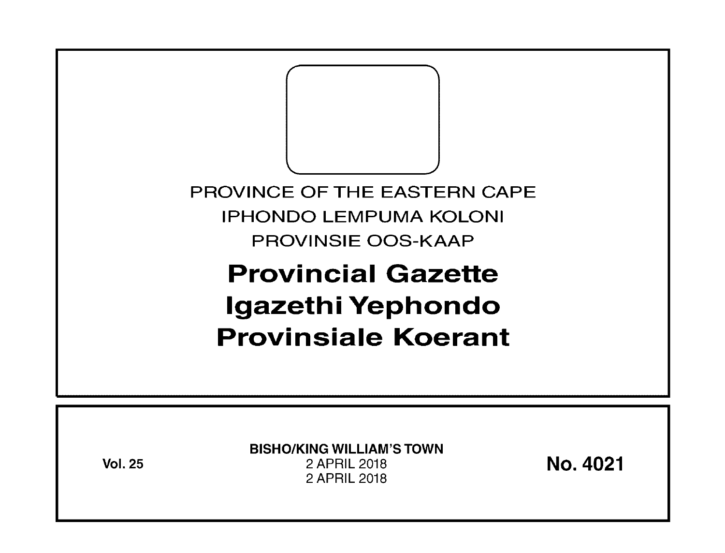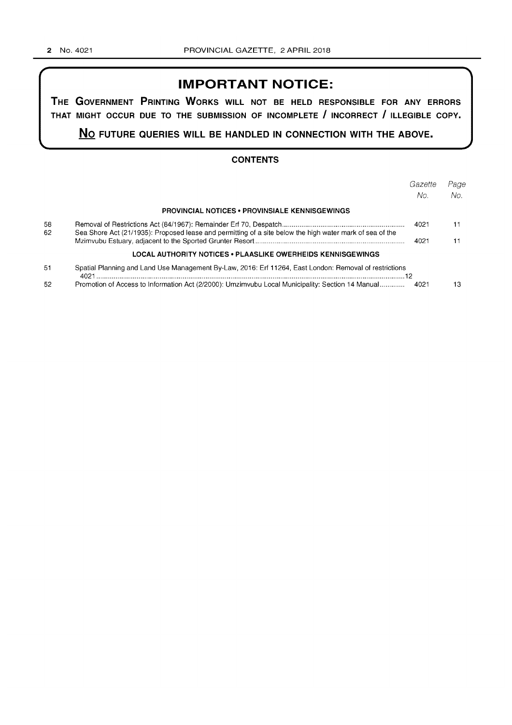# **IMPORTANT NOTICE:**

**THE GOVERNMENT PRINTING WORKS WILL NOT BE HELD RESPONSIBLE FOR ANY ERRORS THAT MIGHT OCCUR DUE TO THE SUBMISSION OF INCOMPLETE I INCORRECT I ILLEGIBLE COPY.** 

**No FUTURE QUERIES WILL BE HANDLED IN CONNECTION WITH THE ABOVE.** 

### **CONTENTS**

|          |                                                                                                          | Gazette | Page |
|----------|----------------------------------------------------------------------------------------------------------|---------|------|
|          |                                                                                                          | No.     | No.  |
|          | <b>PROVINCIAL NOTICES • PROVINSIALE KENNISGEWINGS</b>                                                    |         |      |
| 58<br>62 | Sea Shore Act (21/1935): Proposed lease and permitting of a site below the high water mark of sea of the | 4021    |      |
|          |                                                                                                          | 4021    |      |
|          | LOCAL AUTHORITY NOTICES • PLAASLIKE OWERHEIDS KENNISGEWINGS                                              |         |      |
| 51       | Spatial Planning and Land Use Management By-Law, 2016: Erf 11264, East London: Removal of restrictions   |         |      |
| 52       | Promotion of Access to Information Act (2/2000): Umzimvubu Local Municipality: Section 14 Manual         | 4021    | 13   |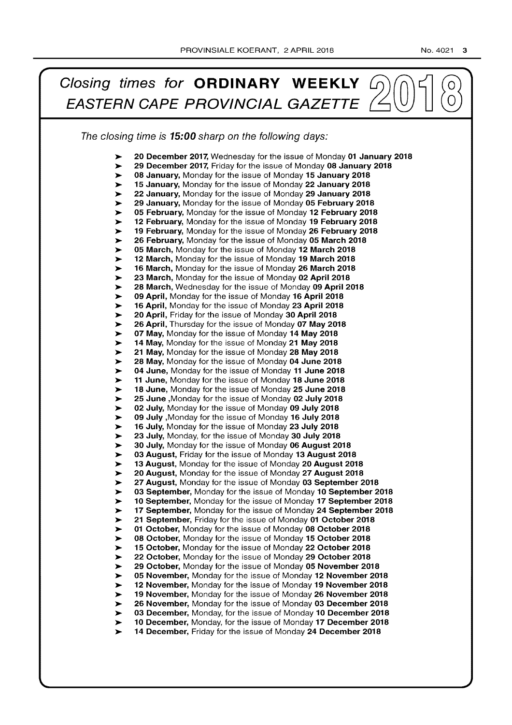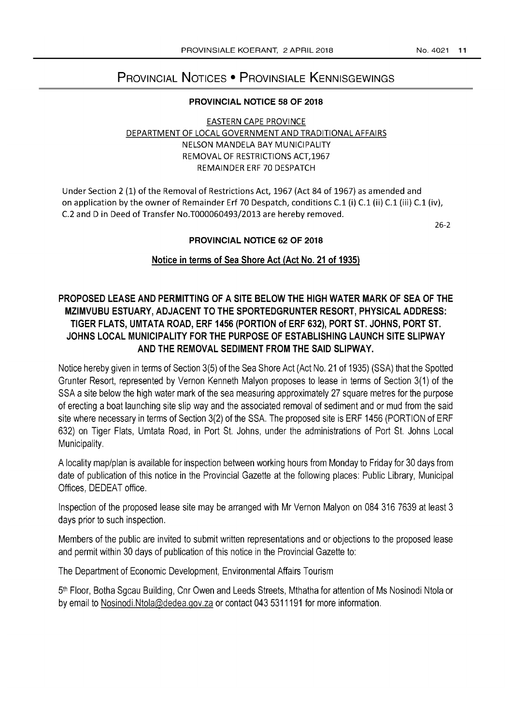# PROVINCIAL NOTICES • PROVINSIALE KENNISGEWINGS

### PROVINCIAL NOTICE 58 OF 2018

# EASTERN CAPE PROVINCE DEPARTMENT OF LOCAL GOVERNMENT AND TRADITIONAL AFFAIRS NELSON MANDELA BAY MUNICIPALITY REMOVAL OF RESTRICTIONS ACT,1967 REMAINDER ERF 70 DESPATCH

Under Section 2 (1) of the Removal of Restrictions Act, 1967 (Act 84 of 1967) as amended and on application by the owner of Remainder Erf 70 Despatch, conditions C.1 (i) C.1 (ii) C.1 (iii) C.1 (iv), C.2 and D in Deed of Transfer No.T000060493/2013 are hereby removed.

26-2

## PROVINCIAL NOTICE 62 OF 2018

# Notice in terms of Sea Shore Act (Act No. 21 of 1935)

# PROPOSED LEASE AND PERMITTING OF A SITE BELOW THE HIGH WATER MARK OF SEA OF THE MZIMVUBU ESTUARY, ADJACENT TO THE SPORTEDGRUNTER RESORT, PHYSICAL ADDRESS: TIGER FLATS, UMTATA ROAD, ERF 1456 (PORTION of ERF 632), PORT ST. JOHNS, PORT ST. JOHNS LOCAL MUNICIPALITY FOR THE PURPOSE OF ESTABLISHING LAUNCH SITE SLiPWAY AND THE REMOVAL SEDIMENT FROM THE SAID SLiPWAY.

Notice hereby given in terms of Section 3(5) of the Sea Shore Act (Act No. 21 of 1935) (SSA) that the Spotted Grunter Resort, represented by Vernon Kenneth Malyon proposes to lease in terms of Section 3(1) of the SSA a site below the high water mark of the sea measuring approximately 27 square metres for the purpose of erecting a boat launching site slip way and the associated removal of sediment and or mud from the said site where necessary in terms of Section 3(2) of the SSA. The proposed site is ERF 1456 (PORTION of ERF 632) on Tiger Flats, Umtata Road, in Port St. Johns, under the administrations of Port St. Johns Local Municipality.

A locality map/plan is available for inspection between working hours from Monday to Friday for 30 days from date of publication of this notice in the Provincial Gazette at the following places: Public Library, Municipal Offices, DEDEAT office.

Inspection of the proposed lease site may be arranged with Mr Vernon Malyon on 084 316 7639 at least 3 days prior to such inspection.

Members of the public are invited to submit written representations and or objections to the proposed lease and permit within 30 days of publication of this notice in the Provincial Gazette to:

The Department of Economic Development, Environmental Affairs Tourism

5th Floor, Botha Sgcau Building, Cnr Owen and Leeds Streets, Mthatha for attention of Ms Nosinodi Ntola or by email to Nosinodi.Ntola@dedea.gov.za or contact 043 5311191 for more information.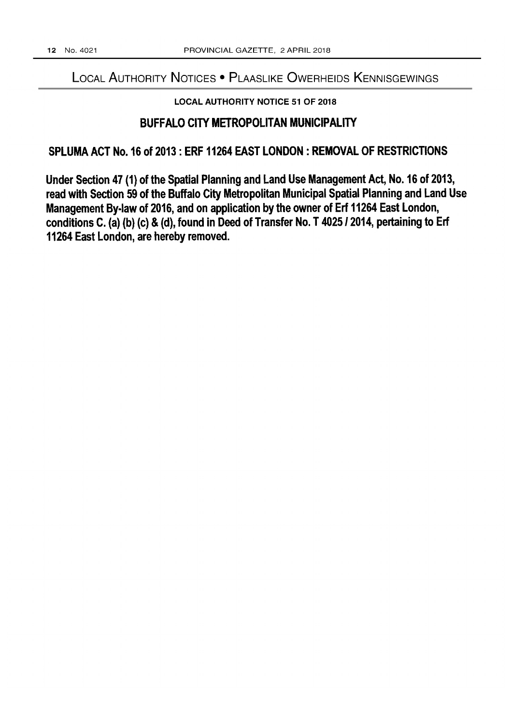# LOCAL AUTHORITY NOTICES • PLAASLIKE OWERHEIDS KENNISGEWINGS

# LOCAL AUTHORITY NOTICE 51 OF 2018

# BUFFALO CITY METROPOLITAN MUNICIPALITY

# SPLUMA ACT No. 16 of 2013: ERF 11264 EAST LONDON: REMOVAL OF RESTRICTIONS

Under Section 47 (1) of the Spatial Planning and Land Use Management Act, No. 16 of 2013, read with Section 59 of the Buffalo City Metropolitan Municipal Spatial Planning and Land Use Management By-law of 2016, and on application by the owner of Erf 11264 East London, conditions C. (a) (b) (c) & (d), found in Deed of Transfer No. T 4025/2014, pertaining to Erf 11264 East London, are hereby removed.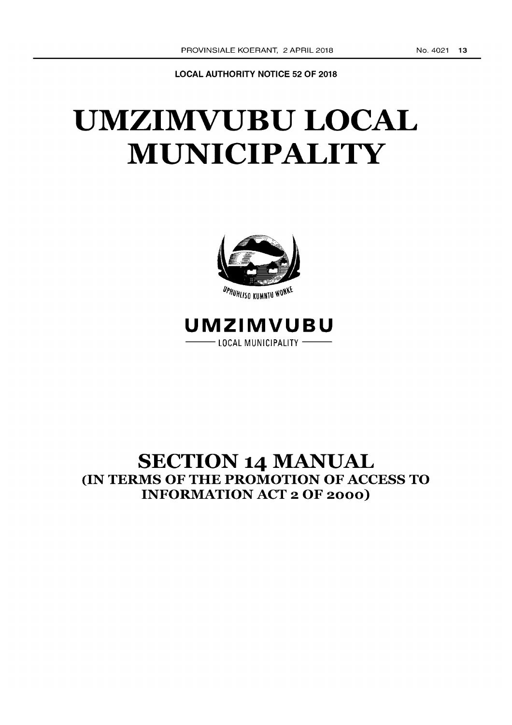LOCAL AUTHORITY NOTICE 52 OF 2018

# UMZIMVUBU LOCAL **MUNICIPALITY**



UPHUHLISO KUMNTU WONKE

# **UMZIMVUBU**  --LOCAL MUNICIPALITY --

# SECTION 14 MANUAL (IN TERMS OF THE PROMOTION OF ACCESS TO INFORMATION ACT 2 OF 2000)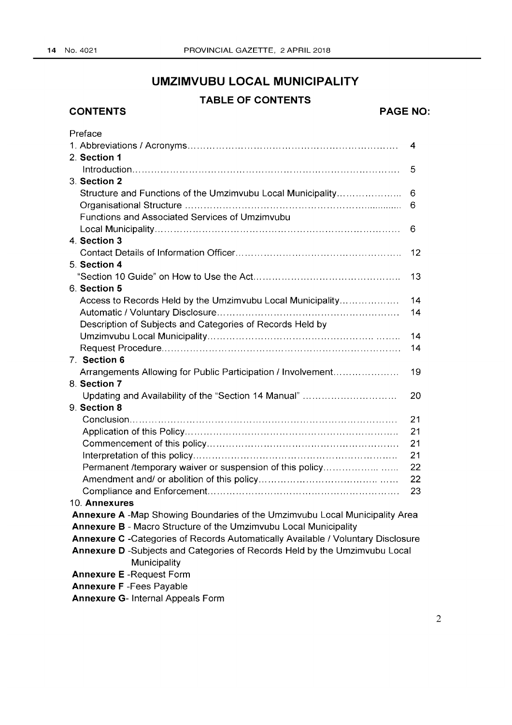**CONTENTS** 

# **UMZIMVUBU LOCAL MUNICIPALITY**

# **TABLE OF CONTENTS**

# **PAGE NO:**

| Preface                                                                          |    |  |
|----------------------------------------------------------------------------------|----|--|
|                                                                                  | 4  |  |
| 2. Section 1                                                                     |    |  |
|                                                                                  | 5  |  |
| 3. Section 2                                                                     |    |  |
| Structure and Functions of the Umzimvubu Local Municipality                      | 6  |  |
|                                                                                  | 6  |  |
| Functions and Associated Services of Umzimvubu                                   |    |  |
|                                                                                  | 6  |  |
| 4. Section 3                                                                     |    |  |
|                                                                                  | 12 |  |
| 5. Section 4                                                                     |    |  |
|                                                                                  | 13 |  |
| 6. Section 5                                                                     |    |  |
| Access to Records Held by the Umzimvubu Local Municipality                       | 14 |  |
|                                                                                  | 14 |  |
| Description of Subjects and Categories of Records Held by                        |    |  |
|                                                                                  | 14 |  |
|                                                                                  | 14 |  |
| 7. Section 6                                                                     |    |  |
| Arrangements Allowing for Public Participation / Involvement                     | 19 |  |
| 8. Section 7                                                                     |    |  |
| Updating and Availability of the "Section 14 Manual"                             | 20 |  |
| 9. Section 8                                                                     |    |  |
|                                                                                  | 21 |  |
|                                                                                  | 21 |  |
|                                                                                  | 21 |  |
|                                                                                  | 21 |  |
| Permanent /temporary waiver or suspension of this policy                         | 22 |  |
|                                                                                  | 22 |  |
|                                                                                  | 23 |  |
| 10. Annexures                                                                    |    |  |
| Annexure A -Map Showing Boundaries of the Umzimvubu Local Municipality Area      |    |  |
| Annexure B - Macro Structure of the Umzimvubu Local Municipality                 |    |  |
| Annexure C -Categories of Records Automatically Available / Voluntary Disclosure |    |  |
| Annexure D -Subjects and Categories of Records Held by the Umzimvubu Local       |    |  |
| Municipality                                                                     |    |  |
| <b>Annexure E</b> - Request Form                                                 |    |  |
| <b>Annexure F</b> - Fees Payable                                                 |    |  |
| <b>Annexure G- Internal Appeals Form</b>                                         |    |  |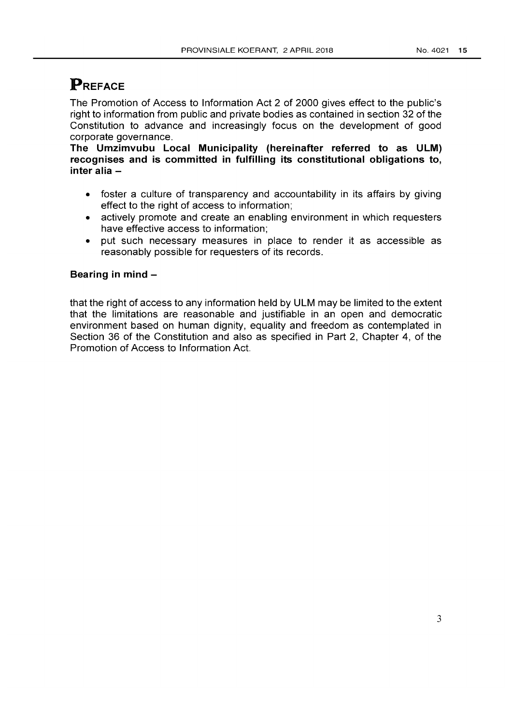# **PREFACE**

The Promotion of Access to Information Act 2 of 2000 gives effect to the public's right to information from public and private bodies as contained in section 32 of the Constitution to advance and increasingly focus on the development of good corporate governance.

The Umzimvubu Local Municipality (hereinafter referred to as ULM) recognises and is committed in fulfilling its constitutional obligations to, inter alia-

- foster a culture of transparency and accountability in its affairs by giving effect to the right of access to information;
- actively promote and create an enabling environment in which requesters have effective access to information;
- put such necessary measures in place to render it as accessible as reasonably possible for requesters of its records.

# Bearing in mind-

that the right of access to any information held by ULM may be limited to the extent that the limitations are reasonable and justifiable in an open and democratic environment based on human dignity, equality and freedom as contemplated in Section 36 of the Constitution and also as specified in Part 2, Chapter 4, of the Promotion of Access to Information Act.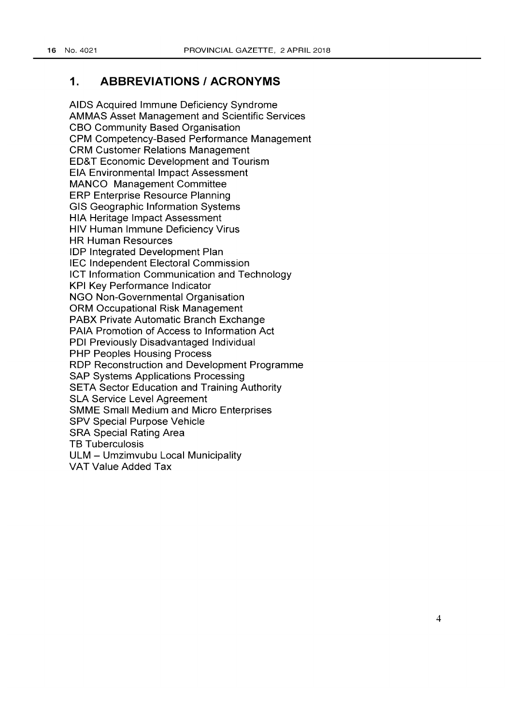# **1. ABBREVIATIONS I ACRONYMS**

AIDS Acquired Immune Deficiency Syndrome AMMAS Asset Management and Scientific Services CBO Community Based Organisation CPM Competency-Based Performance Management CRM Customer Relations Management ED& T Economic Development and Tourism EIA Environmental Impact Assessment MANCO Management Committee ERP Enterprise Resource Planning GIS Geographic Information Systems HIA Heritage Impact Assessment HIV Human Immune Deficiency Virus HR Human Resources lOP Integrated Development Plan IEC Independent Electoral Commission ICT Information Communication and Technology KPI Key Performance Indicator NGO Non-Governmental Organisation ORM Occupational Risk Management PABX Private Automatic Branch Exchange PAIA Promotion of Access to Information Act POI Previously Disadvantaged Individual PHP Peoples Housing Process RDP Reconstruction and Development Programme SAP Systems Applications Processing SETA Sector Education and Training Authority SLA Service Level Agreement SMME Small Medium and Micro Enterprises SPV Special Purpose Vehicle SRA Special Rating Area TB Tuberculosis ULM - Umzimvubu Local Municipality VAT Value Added Tax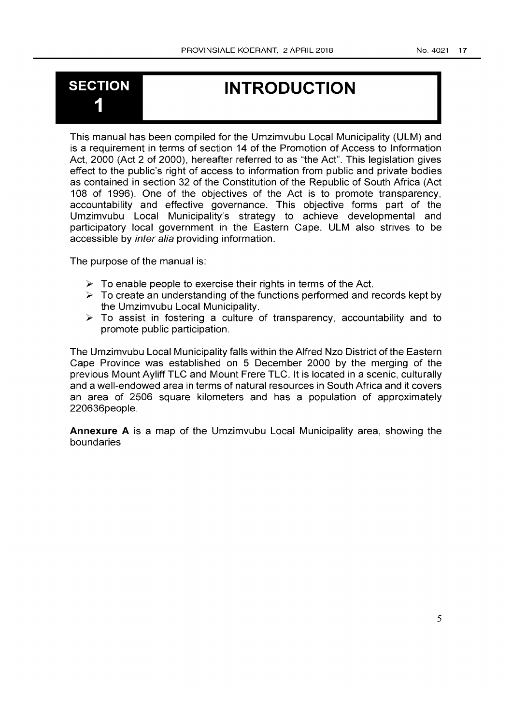# **SECTION** 1

# **INTRODUCTION**

This manual has been compiled for the Umzimvubu Local Municipality (ULM) and is a requirement in terms of section 14 of the Promotion of Access to Information Act, 2000 (Act 2 of 2000), hereafter referred to as "the Act". This legislation gives effect to the public's right of access to information from public and private bodies as contained in section 32 of the Constitution of the Republic of South Africa (Act 108 of 1996). One of the objectives of the Act is to promote transparency, accountability and effective governance. This objective forms part of the Umzimvubu Local Municipality's strategy to achieve developmental and participatory local government in the Eastern Cape. ULM also strives to be accessible by inter alia providing information.

The purpose of the manual is:

- $\triangleright$  To enable people to exercise their rights in terms of the Act.
- $\geq$  To create an understanding of the functions performed and records kept by the Umzimvubu Local Municipality.
- $\triangleright$  To assist in fostering a culture of transparency, accountability and to promote public participation.

The Umzimvubu Local Municipality falls within the Alfred Nzo District of the Eastern Cape Province was established on 5 December 2000 by the merging of the previous Mount Ayliff TLC and Mount Frere TLC. It is located in a scenic, culturally and a well-endowed area in terms of natural resources in South Africa and it covers an area of 2506 square kilometers and has a population of approximately 220636people.

**Annexure A** is a map of the Umzimvubu Local Municipality area, showing the boundaries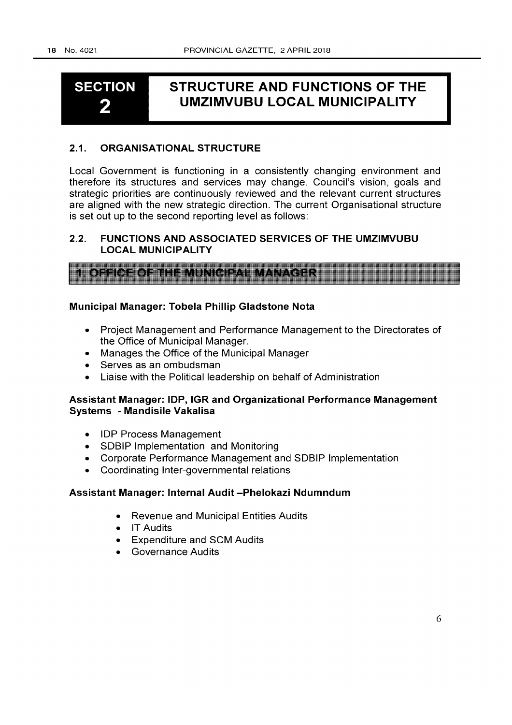# **SECTION**  2

# **STRUCTURE AND FUNCTIONS OF THE UMZIMVUBU LOCAL MUNICIPALITY**

# 2.1. ORGANISATIONAL STRUCTURE

Local Government is functioning in a consistently changing environment and therefore its structures and services may change. Council's vision, goals and strategic priorities are continuously reviewed and the relevant current structures are aligned with the new strategic direction. The current Organisational structure is set out up to the second reporting level as follows:

# 2.2. FUNCTIONS AND ASSOCIATED SERVICES OF THE UMZIMVUBU LOCAL MUNICIPALITY

| <b>1. OFFICE OF THE MUNICIPAL MANAGER</b> |  |
|-------------------------------------------|--|
|                                           |  |
|                                           |  |
|                                           |  |
|                                           |  |
|                                           |  |

## Municipal Manager: Tobela Phillip Gladstone Nota

- Project Management and Performance Management to the Directorates of the Office of Municipal Manager.
- Manages the Office of the Municipal Manager
- Serves as an ombudsman
- Liaise with the Political leadership on behalf of Administration

# Assistant Manager: lOP, IGR and Organizational Performance Management Systems - Mandisile Vakalisa

- lOP Process Management
- SDBIP Implementation and Monitoring
- Corporate Performance Management and SDBIP Implementation
- Coordinating Inter-governmental relations

### Assistant Manager: Internal Audit -Phelokazi Ndumndum

- Revenue and Municipal Entities Audits
- IT Audits
- Expenditure and SCM Audits
- Governance Audits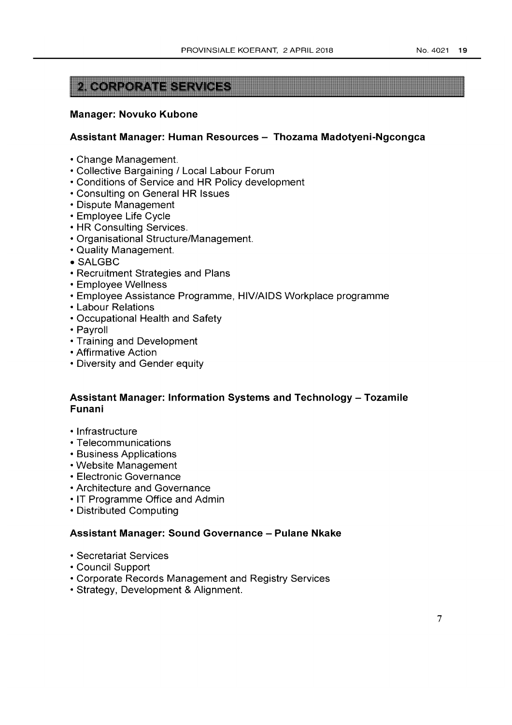# **CORPORATE SERVICE**

### **Manager: Novuko Kubone**

### **Assistant Manager: Human Resources - Thozama Madotyeni-Ngcongca**

- Change Management.
- Collective Bargaining / Local Labour Forum
- Conditions of Service and **HR** Policy development
- Consulting on General **HR** Issues
- Dispute Management
- Employee Life Cycle
- **HR** Consulting Services.
- Organisational Structure/Management.
- Quality Management.
- SALGBC
- Recruitment Strategies and Plans
- Employee Wellness
- Employee Assistance Programme, HIV/AIDS Workplace programme
- Labour Relations
- Occupational Health and Safety
- Payroll
- Training and Development
- Affirmative Action
- Diversity and Gender equity

# **Assistant Manager: Information Systems and Technology - Tozamile Funani**

- Infrastructure
- Telecommunications
- Business Applications
- Website Management
- Electronic Governance
- Architecture and Governance
- IT Programme Office and Admin
- Distributed Computing

## **Assistant Manager: Sound Governance - Pulane Nkake**

- Secretariat Services
- Council Support
- Corporate Records Management and Registry Services
- Strategy, Development & Alignment.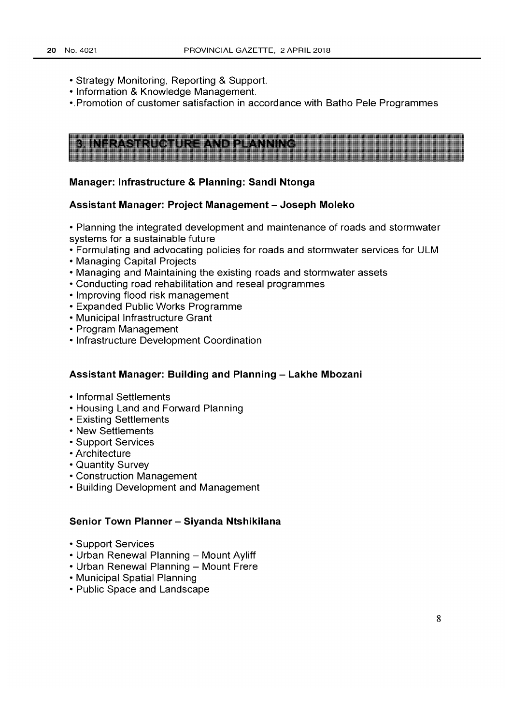- Strategy Monitoring, Reporting & Support.
- Information & Knowledge Management.
- •. Promotion of customer satisfaction in accordance with Batho Pele Programmes

| See all the complete states and the complete state of the problem of the complete states of | ,,,,,,,,,,,,,,,,,,,,,,,,,,,,,,,,,,,,, |
|---------------------------------------------------------------------------------------------|---------------------------------------|
| 攤體<br>with the company of the company of the company<br>,,,,,,,,                            |                                       |
| <b>Hilling</b>                                                                              |                                       |
|                                                                                             |                                       |
|                                                                                             |                                       |
|                                                                                             |                                       |
|                                                                                             |                                       |
|                                                                                             |                                       |

### **Manager: Infrastructure & Planning: Sandi Ntonga**

### **Assistant Manager: Project Management - Joseph Moleko**

- Planning the integrated development and maintenance of roads and stormwater systems for a sustainable future
- Formulating and advocating policies for roads and stormwater services for ULM
- Managing Capital Projects
- Managing and Maintaining the existing roads and stormwater assets
- Conducting road rehabilitation and reseal programmes
- Improving flood risk management
- Expanded Public Works Programme
- Municipal Infrastructure Grant
- Program Management
- Infrastructure Development Coordination

### **Assistant Manager: Building and Planning - Lakhe Mbozani**

- Informal Settlements
- Housing Land and Forward Planning
- Existing Settlements
- New Settlements
- Support Services
- Architecture
- Quantity Survey
- Construction Management
- Building Development and Management

### **Senior Town Planner - Siyanda Ntshikilana**

- Support Services
- Urban Renewal Planning Mount Ayliff
- Urban Renewal Planning Mount Frere
- Municipal Spatial Planning
- Public Space and Landscape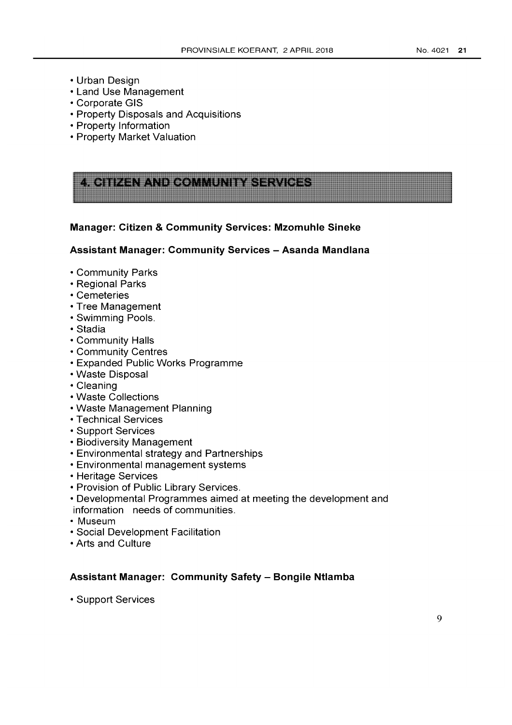- Urban Design
- Land Use Management
- Corporate GIS
- Property Disposals and Acquisitions
- Property Information
- Property Market Valuation

| ----                                                                                                                                                                                                                                      |                      |     |  |
|-------------------------------------------------------------------------------------------------------------------------------------------------------------------------------------------------------------------------------------------|----------------------|-----|--|
|                                                                                                                                                                                                                                           |                      |     |  |
| .                                                                                                                                                                                                                                         |                      |     |  |
| ---                                                                                                                                                                                                                                       |                      |     |  |
|                                                                                                                                                                                                                                           |                      |     |  |
|                                                                                                                                                                                                                                           |                      |     |  |
| 5055555                                                                                                                                                                                                                                   |                      |     |  |
| ---                                                                                                                                                                                                                                       |                      | 平井肌 |  |
| and the second second second second second second second second second second second second second second second second second second second second second second second second second second second second second second seco<br>------- |                      |     |  |
| ,,,,,                                                                                                                                                                                                                                     | <u> - A Anithrop</u> |     |  |
|                                                                                                                                                                                                                                           |                      |     |  |
|                                                                                                                                                                                                                                           |                      |     |  |
|                                                                                                                                                                                                                                           |                      |     |  |
|                                                                                                                                                                                                                                           |                      |     |  |
|                                                                                                                                                                                                                                           |                      |     |  |
|                                                                                                                                                                                                                                           |                      |     |  |
|                                                                                                                                                                                                                                           |                      |     |  |
|                                                                                                                                                                                                                                           |                      |     |  |
|                                                                                                                                                                                                                                           |                      |     |  |
|                                                                                                                                                                                                                                           |                      |     |  |
|                                                                                                                                                                                                                                           |                      |     |  |
|                                                                                                                                                                                                                                           |                      |     |  |
|                                                                                                                                                                                                                                           |                      |     |  |
|                                                                                                                                                                                                                                           |                      |     |  |
|                                                                                                                                                                                                                                           |                      |     |  |
|                                                                                                                                                                                                                                           |                      |     |  |
|                                                                                                                                                                                                                                           |                      |     |  |

## **Manager: Citizen & Community Services: Mzomuhle Sineke**

## **Assistant Manager: Community Services - Asanda Mandlana**

- Community Parks
- Regional Parks
- Cemeteries
- Tree Management
- Swimming Pools.
- Stadia
- Community Halls
- Community Centres
- Expanded Public Works Programme
- Waste Disposal
- Cleaning
- Waste Collections
- Waste Management Planning
- Technical Services
- Support Services
- Biodiversity Management
- Environmental strategy and Partnerships
- Environmental management systems
- Heritage Services
- Provision of Public Library Services.
- Developmental Programmes aimed at meeting the development and information needs of communities .
- Museum
- Social Development Facilitation
- Arts and Culture

# **Assistant Manager: Community Safety - Bongile Ntlamba**

• Support Services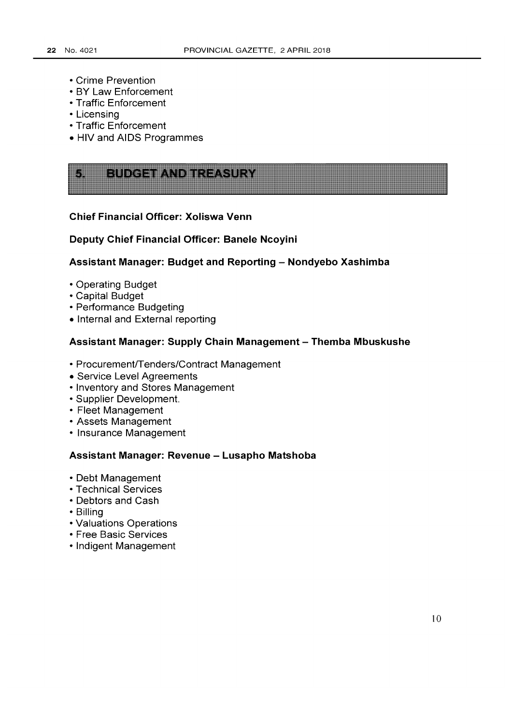- Crime Prevention
- BY Law Enforcement
- Traffic Enforcement
- Licensing
- Traffic Enforcement
- HIV and AIDS Programmes

### **Chief Financial Officer: Xoliswa Venn**

### **Deputy Chief Financial Officer: Banele Ncoyini**

# **Assistant Manager: Budget and Reporting - Nondyebo Xashimba**

- Operating Budget
- Capital Budget
- Performance Budgeting
- Internal and External reporting

### **Assistant Manager: Supply Chain Management - Themba Mbuskushe**

- Procurement/Tenders/Contract Management
- Service Level Agreements
- Inventory and Stores Management
- Supplier Development.
- Fleet Management
- Assets Management
- Insurance Management

### **Assistant Manager: Revenue - Lusapho Matshoba**

- Debt Management
- Technical Services
- Debtors and Cash
- Billing
- Valuations Operations
- Free Basic Services
- Indigent Management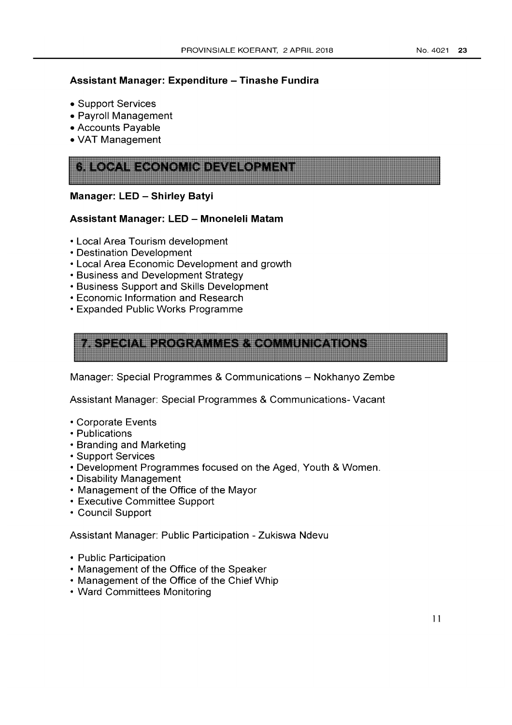# **Assistant Manager: Expenditure - Tinashe Fundira**

- Support Services
- Payroll Management
- Accounts Payable
- VAT Management

| <b>PRODUCT</b> |
|----------------|
|----------------|

## **Manager: LED - Shirley Batyi**

## **Assistant Manager: LED - Mnoneleli Matam**

- Local Area Tourism development
- Destination Development
- Local Area Economic Development and growth
- Business and Development Strategy
- Business Support and Skills Development
- Economic Information and Research
- Expanded Public Works Programme



Manager: Special Programmes & Communications - Nokhanyo Zembe

Assistant Manager: Special Programmes & Communications- Vacant

- Corporate Events
- Publications
- Branding and Marketing
- Support Services
- Development Programmes focused on the Aged, Youth & Women.
- Disability Management
- Management of the Office of the Mayor
- Executive Committee Support
- Council Support

Assistant Manager: Public Participation - Zukiswa Ndevu

- Public Participation
- Management of the Office of the Speaker
- Management of the Office of the Chief Whip
- Ward Committees Monitoring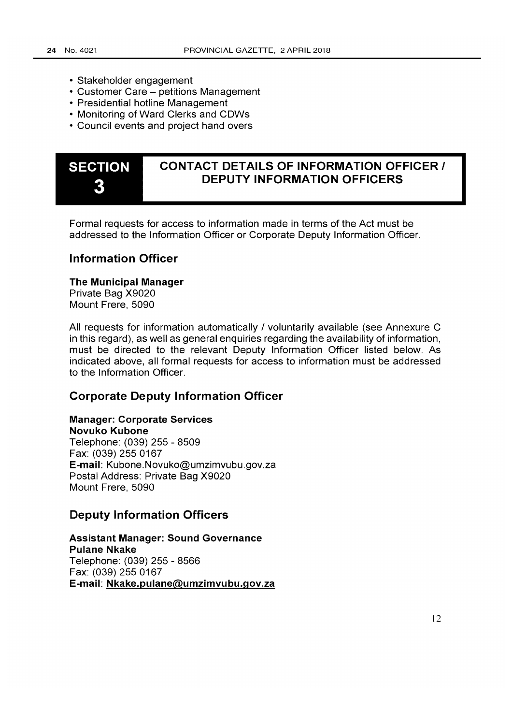- Stakeholder engagement
- Customer Care petitions Management
- Presidential hotline Management
- Monitoring of Ward Clerks and COWs
- Council events and project hand overs



# **CONTACT DETAILS OF INFORMATION OFFICERI DEPUTY INFORMATION OFFICERS**

Formal requests for access to information made in terms of the Act must be addressed to the Information Officer or Corporate Deputy Information Officer.

# **Information Officer**

**The Municipal Manager**  Private Bag X9020

Mount Frere, 5090

All requests for information automatically / voluntarily available (see Annexure C in this regard), as well as general enquiries regarding the availability of information, must be directed to the relevant Deputy Information Officer listed below. As indicated above, all formal requests for access to information must be addressed to the Information Officer.

# **Corporate Deputy Information Officer**

# **Manager: Corporate Services**

**Novuko Kubone**  Telephone: (039) 255 - 8509 Fax: (039) 255 0167 **E-mail:** Kubone.Novuko@umzimvubu.gov.za Postal Address: Private Bag X9020 Mount Frere, 5090

# **Deputy Information Officers**

**Assistant Manager: Sound Governance Pulane Nkake**  Telephone: (039) 255 - 8566 Fax: (039) 255 0167 **E-mail: Nkake.pulane@umzimvubu.gov.za**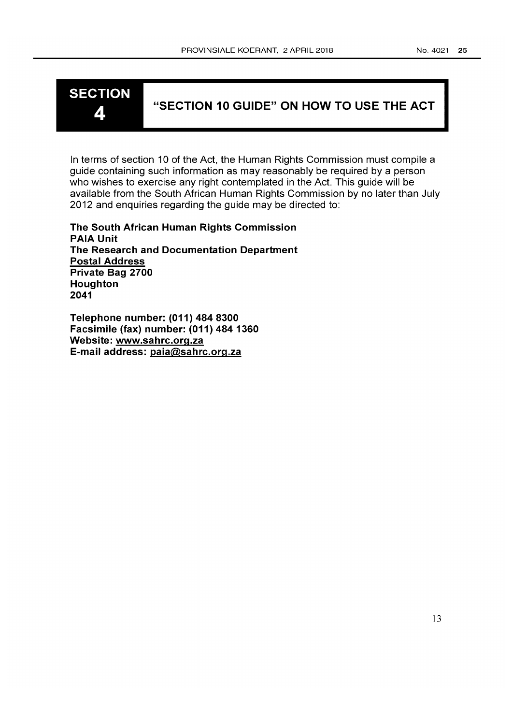# **SECTION**

# 4 **"SECTION 10 GUIDE" ON HOW TO USE THE ACT**

In terms of section 10 of the Act, the Human Rights Commission must compile a guide containing such information as may reasonably be required by a person who wishes to exercise any right contemplated in the Act. This guide will be available from the South African Human Rights Commission by no later than July 2012 and enquiries regarding the guide may be directed to:

**The South African Human Rights Commission PAIA Unit The Research and Documentation Department Postal Address Private Bag 2700 Houghton 2041** 

**Telephone number: (011) 484 8300 Facsimile (fax) number: (011) 484 1360 Website: www.sahrc.org.za E-mail address:paia@sahrc.org.za**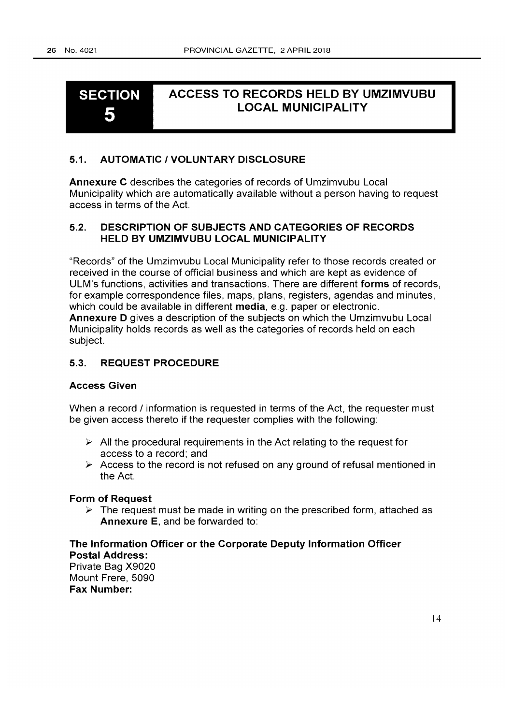### **SECTION**  5 **ACCESS TO RECORDS HELD BY UMZIMVUBU LOCAL MUNICIPALITY**

## **5.1. AUTOMATIC I VOLUNTARY DISCLOSURE**

**Annexure C** describes the categories of records of Umzimvubu Local Municipality which are automatically available without a person having to request access in terms of the Act.

# **5.2. DESCRIPTION OF SUBJECTS AND CATEGORIES OF RECORDS HELD BY UMZIMVUBU LOCAL MUNICIPALITY**

"Records" of the Umzimvubu Local Municipality refer to those records created or received in the course of official business and which are kept as evidence of ULM's functions, activities and transactions. There are different **forms** of records, for example correspondence files, maps, plans, registers, agendas and minutes, which could be available in different media, e.g. paper or electronic. **Annexure D** gives a description of the subjects on which the Umzimvubu Local Municipality holds records as well as the categories of records held on each subject.

### **5.3. REQUEST PROCEDURE**

# **Access Given**

When a record / information is requested in terms of the Act, the requester must be given access thereto if the requester complies with the following:

- $\triangleright$  All the procedural requirements in the Act relating to the request for access to a record; and
- $\triangleright$  Access to the record is not refused on any ground of refusal mentioned in the Act.

### **Form of Request**

 $\triangleright$  The request must be made in writing on the prescribed form, attached as **Annexure** E, and be forwarded to:

# **The Information Officer or the Corporate Deputy Information Officer Postal Address:**  Private Bag X9020 Mount Frere, 5090 **Fax Number:**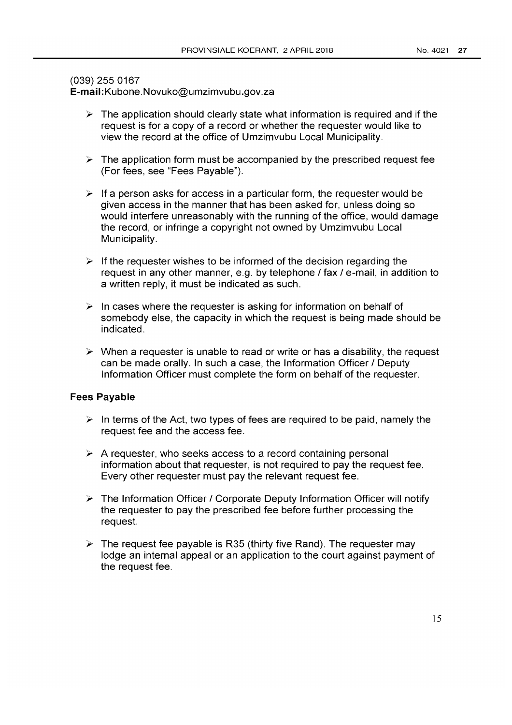# (039) 255 0167

E-mail:Kubone.Novuko@umzimvubu.gov.za

- $\triangleright$  The application should clearly state what information is required and if the request is for a copy of a record or whether the requester would like to view the record at the office of Umzimvubu Local Municipality.
- $\triangleright$  The application form must be accompanied by the prescribed request fee (For fees, see "Fees Payable").
- $\triangleright$  If a person asks for access in a particular form, the requester would be given access in the manner that has been asked for, unless doing so would interfere unreasonably with the running of the office, would damage the record, or infringe a copyright not owned by Umzimvubu Local Municipality.
- $\geq$  If the requester wishes to be informed of the decision regarding the request in any other manner, e.g. by telephone / fax / e-mail, in addition to a written reply, it must be indicated as such.
- $\geq$  In cases where the requester is asking for information on behalf of somebody else, the capacity in which the request is being made should be indicated.
- $\triangleright$  When a requester is unable to read or write or has a disability, the request can be made orally. In such a case, the Information Officer / Deputy Information Officer must complete the form on behalf of the requester.

### **Fees Payable**

- $\geq$  In terms of the Act, two types of fees are required to be paid, namely the request fee and the access fee.
- $\triangleright$  A requester, who seeks access to a record containing personal information about that requester, is not required to pay the request fee. Every other requester must pay the relevant request fee.
- $\triangleright$  The Information Officer / Corporate Deputy Information Officer will notify the requester to pay the prescribed fee before further processing the request.
- $\triangleright$  The request fee payable is R35 (thirty five Rand). The requester may lodge an internal appeal or an application to the court against payment of the request fee.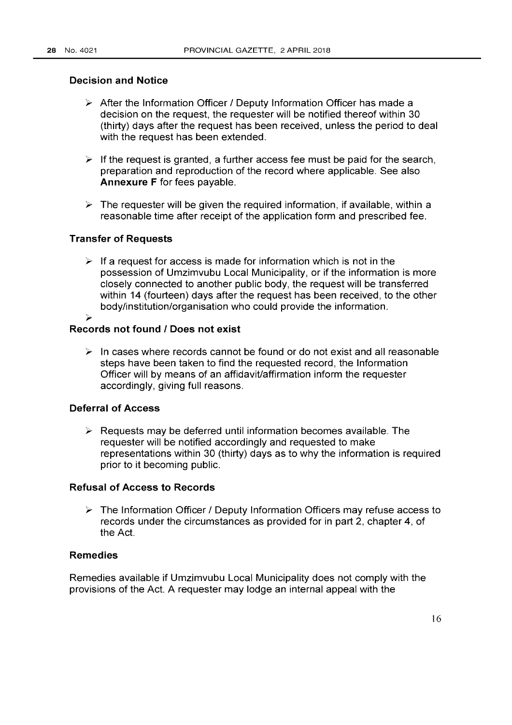## Decision and Notice

- $\triangleright$  After the Information Officer / Deputy Information Officer has made a decision on the request, the requester will be notified thereof within 30 (thirty) days after the request has been received, unless the period to deal with the request has been extended.
- $\triangleright$  If the request is granted, a further access fee must be paid for the search, preparation and reproduction of the record where applicable. See also Annexure F for fees payable.
- $\triangleright$  The requester will be given the required information, if available, within a reasonable time after receipt of the application form and prescribed fee.

### Transfer of Requests

 $\triangleright$  If a request for access is made for information which is not in the possession of Umzimvubu Local Municipality, or if the information is more closely connected to another public body, the request will be transferred within 14 (fourteen) days after the request has been received, to the other body/institution/organisation who could provide the information.  $\overline{\phantom{a}}$ 

### Records not found I Does not exist

 $\triangleright$  In cases where records cannot be found or do not exist and all reasonable steps have been taken to find the requested record, the Information Officer will by means of an affidavit/affirmation inform the requester accordingly, giving full reasons.

### Deferral of Access

 $\triangleright$  Requests may be deferred until information becomes available. The requester will be notified accordingly and requested to make representations within 30 (thirty) days as to why the information is required prior to it becoming public.

# Refusal of Access to Records

 $\triangleright$  The Information Officer / Deputy Information Officers may refuse access to records under the circumstances as provided for in part 2, chapter 4, of the Act.

# Remedies

Remedies available if Umzimvubu Local Municipality does not comply with the provisions of the Act. A requester may lodge an internal appeal with the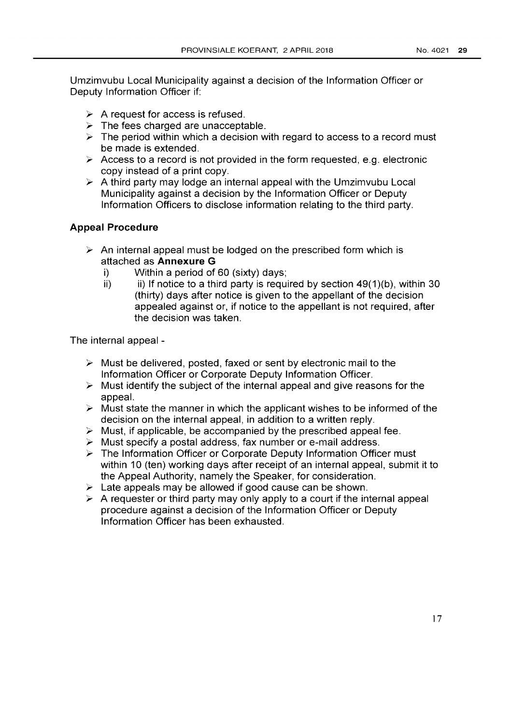Umzimvubu Local Municipality against a decision of the Information Officer or Deputy Information Officer if:

- $\triangleright$  A request for access is refused.
- $\triangleright$  The fees charged are unacceptable.
- $\triangleright$  The period within which a decision with regard to access to a record must be made is extended.
- $\triangleright$  Access to a record is not provided in the form requested, e.g. electronic copy instead of a print copy.
- $\triangleright$  A third party may lodge an internal appeal with the Umzimvubu Local Municipality against a decision by the Information Officer or Deputy Information Officers to disclose information relating to the third party.

### **Appeal Procedure**

- $\triangleright$  An internal appeal must be lodged on the prescribed form which is attached as **Annexure G** 
	- i) Within a period of 60 (sixty) days;
	- ii) ii) If notice to a third party is required by section  $49(1)$ (b), within 30 (thirty) days after notice is given to the appellant of the decision appealed against or, if notice to the appellant is not required, after the decision was taken.

The internal appeal -

- $\triangleright$  Must be delivered, posted, faxed or sent by electronic mail to the Information Officer or Corporate Deputy Information Officer.
- $\triangleright$  Must identify the subject of the internal appeal and give reasons for the appeal.
- $\triangleright$  Must state the manner in which the applicant wishes to be informed of the decision on the internal appeal, in addition to a written reply.
- $\triangleright$  Must, if applicable, be accompanied by the prescribed appeal fee.
- $\triangleright$  Must specify a postal address, fax number or e-mail address.
- $\triangleright$  The Information Officer or Corporate Deputy Information Officer must within 10 (ten) working days after receipt of an internal appeal, submit it to the Appeal Authority, namely the Speaker, for consideration.
- $\geq$  Late appeals may be allowed if good cause can be shown.
- $\triangleright$  A requester or third party may only apply to a court if the internal appeal procedure against a decision of the Information Officer or Deputy Information Officer has been exhausted.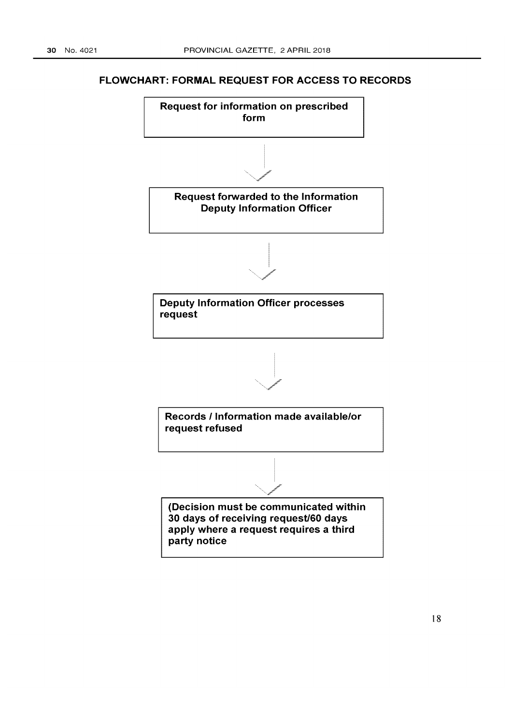# **FLOWCHART: FORMAL REQUEST FOR ACCESS TO RECORDS**

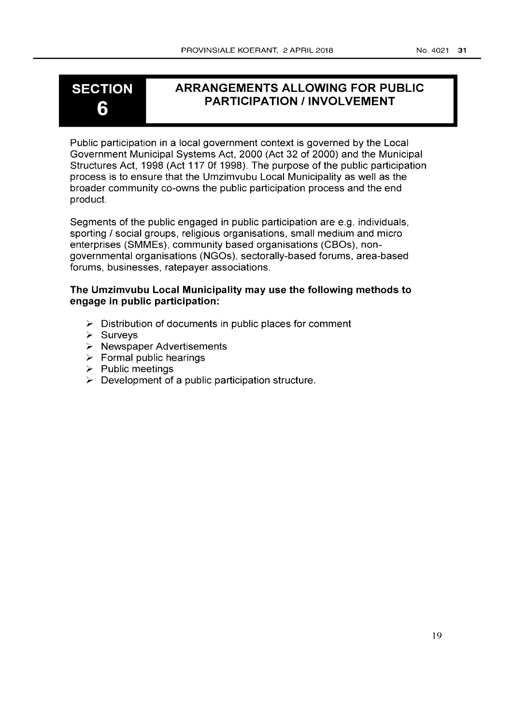# **SECTION** 6

# ARRANGEMENTS ALLOWING FOR PUBLIC PARTICIPATION / INVOLVEMENT

Public participation in a local government context is governed by the Local Government Municipal Systems Act, 2000 (Act 32 of 2000) and the Municipal Structures Act, 1998 (Act 117 Of 1998). The purpose of the public participation process is to ensure that the Umzimvubu Local Municipality as well as the broader community co-owns the public participation process and the end product.

Segments of the public engaged in public participation are e.g. individuals, sporting / social groups, religious organisations, small medium and micro enterprises (SMMEs), community based organisations (CBOs), nongovernmental organisations (NGOs), sectorally-based forums, area-based forums, businesses, ratepayer associations.

# The Umzimvubu Local Municipality may use the following methods to engage in public participation:

- $\triangleright$  Distribution of documents in public places for comment
- > Surveys
- **> Newspaper Advertisements**
- **Example 1** Formal public hearings
- > Public meetings
- $\triangleright$  Development of a public participation structure.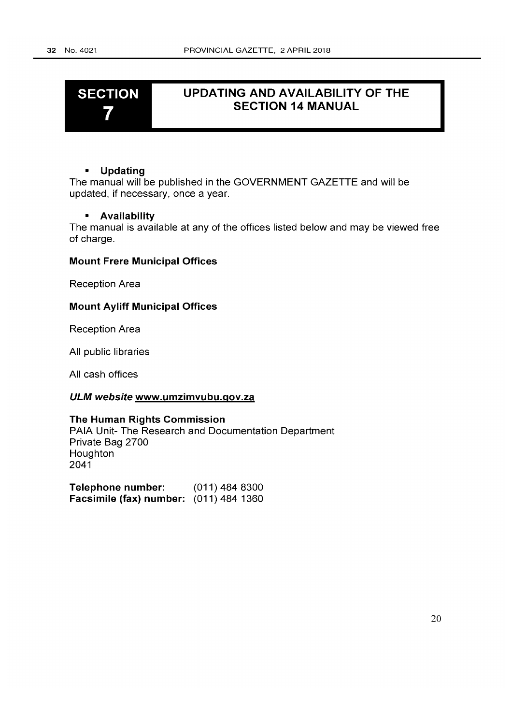# **SECTION**  7

# **UPDATING AND AVAILABILITY OF THE SECTION 14 MANUAL**

### **• Updating**

The manual will be published in the GOVERNMENT GAZETTE and will be updated, if necessary, once a year.

### **• Availability**

The manual is available at any of the offices listed below and may be viewed free of charge.

### **Mount Frere Municipal Offices**

Reception Area

### **Mount Ayliff Municipal Offices**

Reception Area

All public libraries

All cash offices

### **ULM website www.umzimvubu.gov.za**

## **The Human Rights Commission**

PAIA Unit- The Research and Documentation Department Private Bag 2700 Houghton 2041

**Telephone number:** (011) 484 8300 **Facsimile (fax) number:** (011) 484 1360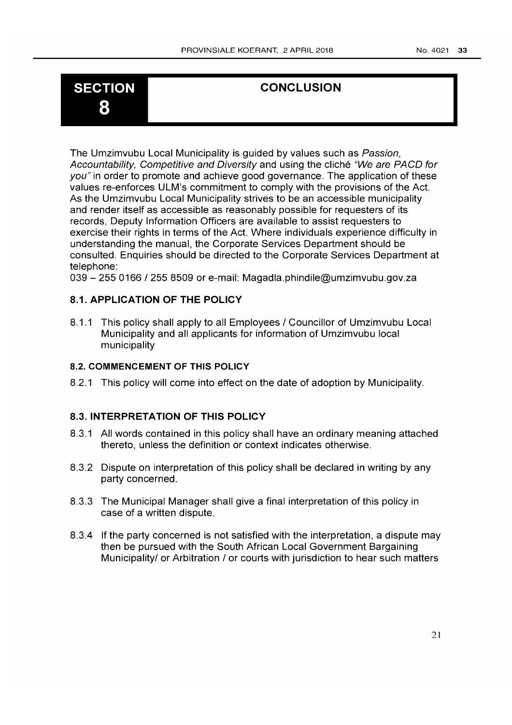# 8

# SECTION CONCLUSION

The Umzimvubu Local Municipality is guided by values such as Passion, Accountability, Competitive and Diversity and using the cliche "We are PACD for you" in order to promote and achieve good governance. The application of these values re-enforces ULM's commitment to comply with the provisions of the Act. As the Umzimvubu Local Municipality strives to be an accessible municipality and render itself as accessible as reasonably possible for requesters of its records, Deputy Information Officers are available to assist requesters to exercise their rights in terms of the Act. Where individuals experience difficulty in understanding the manual, the Corporate Services Department should be consulted. Enquiries should be directed to the Corporate Services Department at telephone:

039 - *2550166/2558509* or e-mail: Magadla.phindile@umzimvubu.gov.za

# 8.1. **APPLICATION OF THE POLICY**

8.1.1 This policy shall apply to all Employees / Councillor of Umzimvubu Local Municipality and all applicants for information of Umzimvubu local municipality

# 8.2. **COMMENCEMENT OF THIS POLICY**

8.2.1 This policy will come into effect on the date of adoption by Municipality.

# 8.3. INTERPRETATION **OF THIS POLICY**

- 8.3.1 All words contained in this policy shall have an ordinary meaning attached thereto, unless the definition or context indicates otherwise.
- 8.3.2 Dispute on interpretation of this policy shall be declared in writing by any party concerned.
- 8.3.3 The Municipal Manager shall give a final interpretation of this policy in case of a written dispute.
- 8.3.4 If the party concerned is not satisfied with the interpretation, a dispute may then be pursued with the South African Local Government Bargaining Municipality/ or Arbitration / or courts with jurisdiction to hear such matters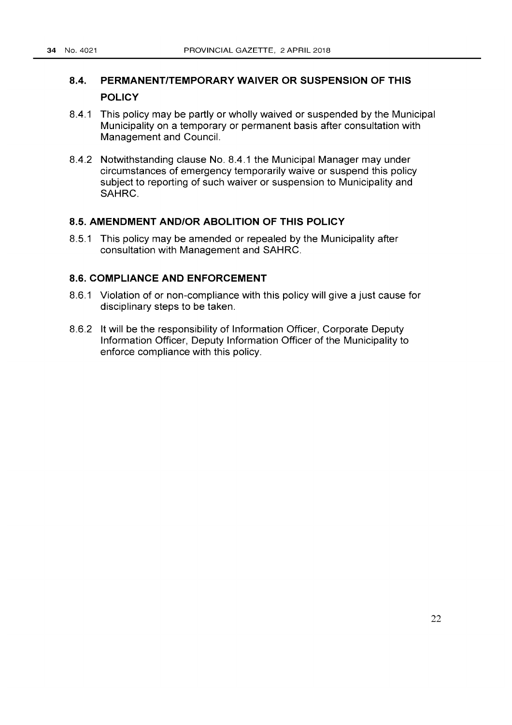# **8.4. PERMANENT/TEMPORARY WAIVER OR SUSPENSION OF THIS POLICY**

- 8.4.1 This policy may be partly or wholly waived or suspended by the Municipal Municipality on a temporary or permanent basis after consultation with Management and Council.
- 8.4.2 Notwithstanding clause No. 8.4.1 the Municipal Manager may under circumstances of emergency temporarily waive or suspend this policy subject to reporting of such waiver or suspension to Municipality and SAHRC.

# **8.5. AMENDMENT AND/OR ABOLITION OF THIS POLICY**

8.5.1 This policy may be amended or repealed by the Municipality after consultation with Management and SAHRC.

# **8.S. COMPLIANCE AND ENFORCEMENT**

- 8.6.1 Violation of or non-compliance with this policy will give a just cause for disciplinary steps to be taken.
- 8.6.2 It will be the responsibility of Information Officer, Corporate Deputy Information Officer, Deputy Information Officer of the Municipality to enforce compliance with this policy.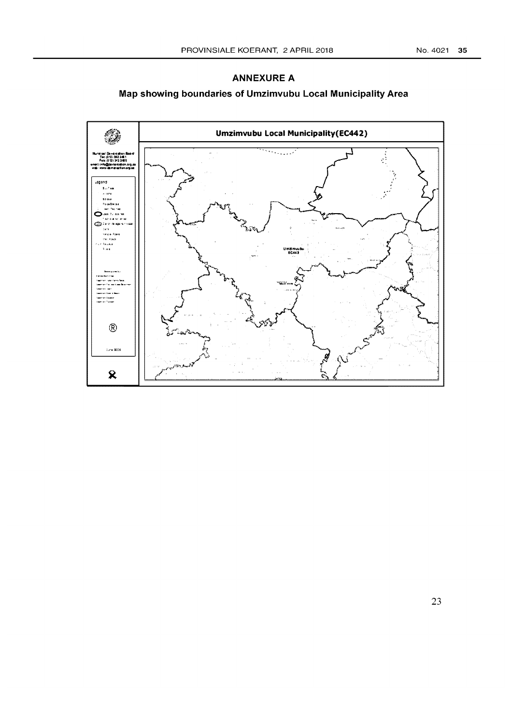### **ANNEXURE A**

# **Map showing boundaries of Urnzirnvubu Local Municipality Area**

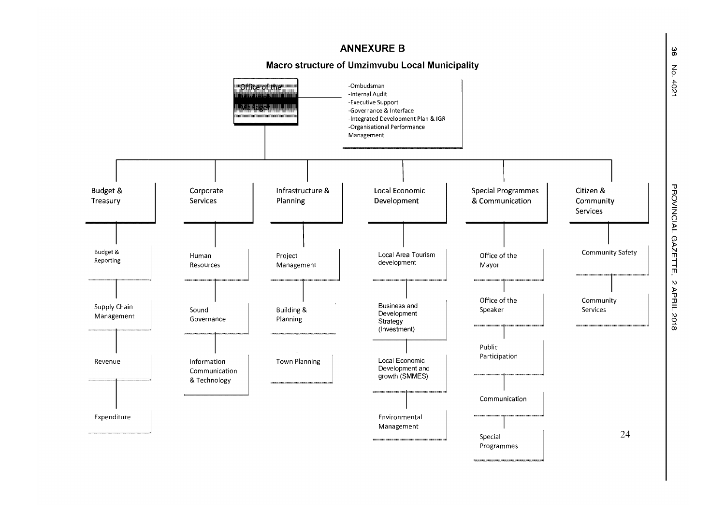

"U JJ NCIAL GAZETTE  $\triangleright$ APRIL 2018

No. 402

 $\mathbf{\overset{\omega}{\sigma}}$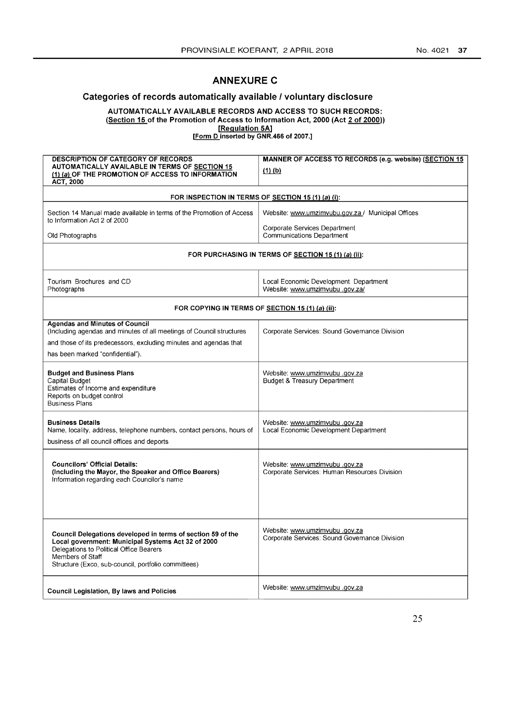# **ANNEXURE C**

## Categories of records automatically available I voluntary disclosure

AUTOMATICALLY AVAILABLE RECORDS AND ACCESS TO SUCH RECORDS:

(Section 15 of the Promotion of Access to Information Act, 2000 (Act 2 of 2000))

[Regulation 5A]

[Form D inserted by GNR.466 of 2007.]

| <b>DESCRIPTION OF CATEGORY OF RECORDS</b>                                                                                                                                                                                               | MANNER OF ACCESS TO RECORDS (e.g. website) (SECTION 15                         |
|-----------------------------------------------------------------------------------------------------------------------------------------------------------------------------------------------------------------------------------------|--------------------------------------------------------------------------------|
| AUTOMATICALLY AVAILABLE IN TERMS OF SECTION 15                                                                                                                                                                                          | $(1)$ (b)                                                                      |
| (1) (a) OF THE PROMOTION OF ACCESS TO INFORMATION<br><b>ACT, 2000</b>                                                                                                                                                                   |                                                                                |
|                                                                                                                                                                                                                                         |                                                                                |
| FOR INSPECTION IN TERMS OF SECTION 15 (1) (a) (i):                                                                                                                                                                                      |                                                                                |
| Section 14 Manual made available in terms of the Promotion of Access<br>to Information Act 2 of 2000                                                                                                                                    | Website: www.umzimvubu.gov.za / Municipal Offices                              |
| Old Photographs                                                                                                                                                                                                                         | Corporate Services Department<br><b>Communications Department</b>              |
|                                                                                                                                                                                                                                         | FOR PURCHASING IN TERMS OF SECTION 15 (1) (a) (ii):                            |
| Tourism Brochures and CD<br>Photographs                                                                                                                                                                                                 | Local Economic Development Department<br>Vvebsite: www.umzimvubu .gov.za/      |
| FOR COPYING IN TERMS OF SECTION 15 (1) (a) (ii):                                                                                                                                                                                        |                                                                                |
| <b>Agendas and Minutes of Council</b><br>(Including agendas and minutes of all meetings of Council structures<br>and those of its predecessors, excluding minutes and agendas that<br>has been marked "confidential").                  | Corporate Services: Sound Governance Division                                  |
| <b>Budget and Business Plans</b><br>Capital Budget<br>Estimates of Income and expenditure<br>Reports on budget control<br><b>Business Plans</b>                                                                                         | Website: www.umzimvubu.gov.za<br><b>Budget &amp; Treasury Department</b>       |
| <b>Business Details</b><br>Name, locality, address, telephone numbers, contact persons, hours of<br>business of all council offices and deports                                                                                         | Vebsite: www.umzimvubu.gov.za<br>Local Economic Development Department         |
| <b>Councilors' Official Details:</b><br>(Including the Mayor, the Speaker and Office Bearers)<br>Information regarding each Councilor's name                                                                                            | Vebsite: www.umzimvubu.gov.za<br>Corporate Services: Human Resources Division  |
| Council Delegations developed in terms of section 59 of the<br>Local government: Municipal Systems Act 32 of 2000<br>Delegations to Political Office Bearers<br>Members of Staff<br>Structure (Exco, sub-council, portfolio committees) | Website: www.umzimvubu.gov.za<br>Corporate Services: Sound Governance Division |
| <b>Council Legislation, By laws and Policies</b>                                                                                                                                                                                        | Website: www.umzimvubu.gov.za                                                  |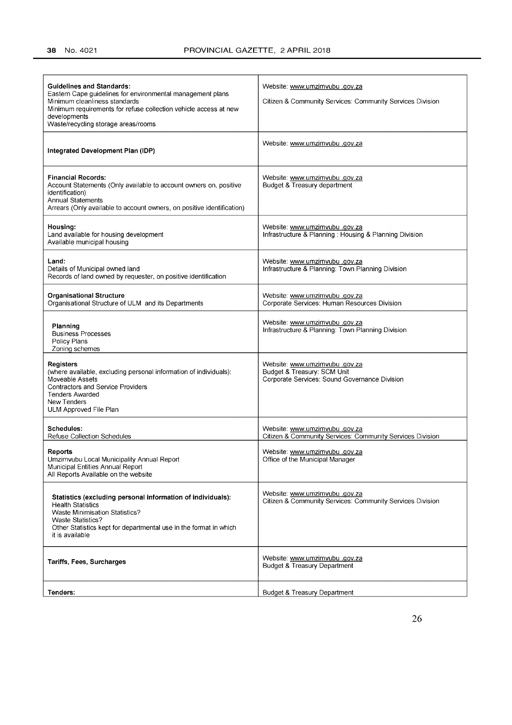| <b>Guidelines and Standards:</b><br>Eastern Cape guidelines for environmental management plans<br>Minimum cleanliness standards<br>Minimum requirements for refuse collection vehicle access at new<br>developments<br>Waste/recycling storage areas/rooms | <u>Website: www.umzimvubu.gov.za</u><br>Citizen & Community Services: Community Services Division             |
|------------------------------------------------------------------------------------------------------------------------------------------------------------------------------------------------------------------------------------------------------------|---------------------------------------------------------------------------------------------------------------|
| Integrated Development Plan (IDP)                                                                                                                                                                                                                          | Website: www.umzimvubu.gov.za                                                                                 |
| <b>Financial Records:</b><br>Account Statements (Only available to account owners on, positive<br>identification)<br><b>Annual Statements</b><br>Arrears (Only available to account owners, on positive identification)                                    | Vebsite: www.umzimvubu.gov.za<br>Budget & Treasury department                                                 |
| Housing:<br>Land available for housing development<br>Available municipal housing                                                                                                                                                                          | website: www.umzimvubu.gov.za<br>Infrastructure & Planning: Housing & Planning Division                       |
| Land:<br>Details of Municipal owned land<br>Records of land owned by requester, on positive identification                                                                                                                                                 | Website: www.umzimvubu .gov.za<br>Infrastructure & Planning: Town Planning Division                           |
| <b>Organisational Structure</b><br>Organisational Structure of ULM and its Departments                                                                                                                                                                     | Website: www.umzimvubu.gov.za<br>Corporate Services: Human Resources Division                                 |
| Planning<br><b>Business Processes</b><br>Policy Plans<br>Zoning schemes                                                                                                                                                                                    | <u>Website: www.umzimvubu.gov.za</u><br>Infrastructure & Planning: Town Planning Division                     |
| Registers<br>(where available, excluding personal information of individuals):<br>Moveable Assets<br><b>Contractors and Service Providers</b><br><b>Tenders Awarded</b><br>New Tenders<br>ULM Approved File Plan                                           | Website: www.umzimvubu.gov.za<br>Budget & Treasury: SCM Unit<br>Corporate Services: Sound Governance Division |
| Schedules:<br>Refuse Collection Schedules                                                                                                                                                                                                                  | Website: www.umzimvubu.gov.za<br>Citizen & Community Services: Community Services Division                    |
| Reports<br>Umzimvubu Local Municipality Annual Report<br>Municipal Entities Annual Report<br>All Reports Available on the website                                                                                                                          | website: www.umzimvubu.gov.za<br>Office of the Municipal Manager                                              |
| Statistics (excluding personal information of individuals):<br><b>Health Statistics</b><br><b>Waste Minimisation Statistics?</b><br><b>Waste Statistics?</b><br>Other Statistics kept for departmental use in the format in which<br>it is available       | Website: www.umzimvubu.gov.za<br>Citizen & Community Services: Community Services Division                    |
| Tariffs, Fees, Surcharges                                                                                                                                                                                                                                  | Website: www.umzimvubu.gov.za<br><b>Budget &amp; Treasury Department</b>                                      |
| Tenders:                                                                                                                                                                                                                                                   | <b>Budget &amp; Treasury Department</b>                                                                       |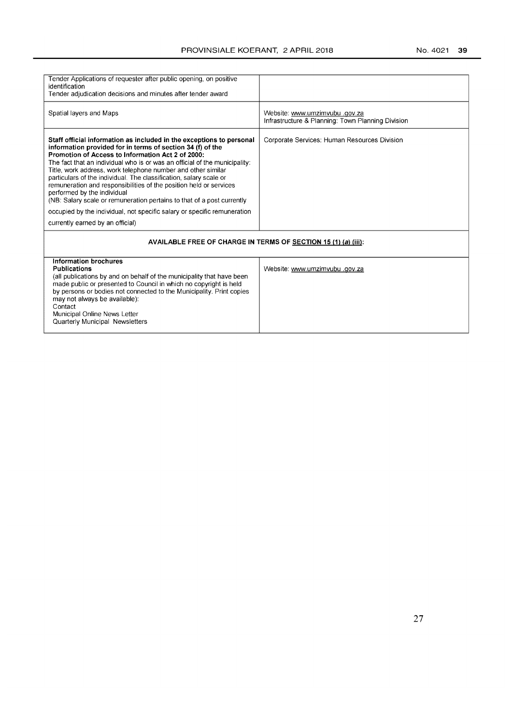| Tender Applications of requester after public opening, on positive                                                                                                                                                                                                                                                                                                                                                                                                                                                                                                                         |                                                   |  |
|--------------------------------------------------------------------------------------------------------------------------------------------------------------------------------------------------------------------------------------------------------------------------------------------------------------------------------------------------------------------------------------------------------------------------------------------------------------------------------------------------------------------------------------------------------------------------------------------|---------------------------------------------------|--|
| identification                                                                                                                                                                                                                                                                                                                                                                                                                                                                                                                                                                             |                                                   |  |
| Tender adjudication decisions and minutes after tender award                                                                                                                                                                                                                                                                                                                                                                                                                                                                                                                               |                                                   |  |
|                                                                                                                                                                                                                                                                                                                                                                                                                                                                                                                                                                                            |                                                   |  |
| Spatial layers and Maps                                                                                                                                                                                                                                                                                                                                                                                                                                                                                                                                                                    | Website: www.umzimvubu.gov.za                     |  |
|                                                                                                                                                                                                                                                                                                                                                                                                                                                                                                                                                                                            | Infrastructure & Planning: Town Planning Division |  |
|                                                                                                                                                                                                                                                                                                                                                                                                                                                                                                                                                                                            |                                                   |  |
| Staff official information as included in the exceptions to personal<br>information provided for in terms of section 34 (f) of the<br>Promotion of Access to Information Act 2 of 2000:<br>The fact that an individual who is or was an official of the municipality:<br>Title, work address, work telephone number and other similar<br>particulars of the individual. The classification, salary scale or<br>remuneration and responsibilities of the position held or services<br>performed by the individual<br>(NB: Salary scale or remuneration pertains to that of a post currently | Corporate Services: Human Resources Division      |  |
| occupied by the individual, not specific salary or specific remuneration                                                                                                                                                                                                                                                                                                                                                                                                                                                                                                                   |                                                   |  |
| currently earned by an official)                                                                                                                                                                                                                                                                                                                                                                                                                                                                                                                                                           |                                                   |  |
| AVAILABLE FREE OF CHARGE IN TERMS OF SECTION 15 (1) (a) (iii):                                                                                                                                                                                                                                                                                                                                                                                                                                                                                                                             |                                                   |  |
| <b>Information brochures</b><br><b>Publications</b><br>(all publications by and on behalf of the municipality that have been<br>made public or presented to Council in which no copyright is held<br>by persons or bodies not connected to the Municipality. Print copies<br>may not always be available):<br>Contact<br>Municipal Online News Letter<br>Quarterly Municipal Newsletters                                                                                                                                                                                                   | Website: www.umzimvubu.gov.za                     |  |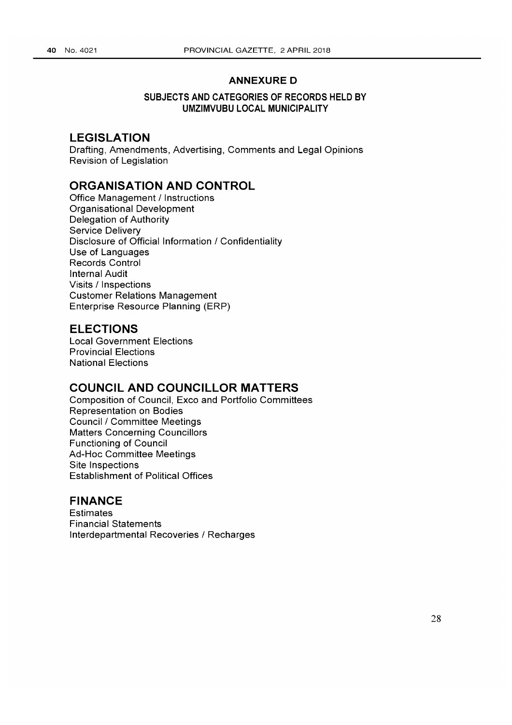# **ANNEXURE 0**

### **SUBJECTS AND CATEGORIES OF RECORDS HELD BY UMZIMVUBU LOCAL MUNICIPALITY**

# **LEGISLATION**

Drafting, Amendments, Advertising, Comments and Legal Opinions Revision of Legislation

# **ORGANISATION AND CONTROL**

Office Management / Instructions Organisational Development Delegation of Authority Service Delivery Disclosure of Official Information / Confidentiality Use of Languages Records Control Internal Audit Visits / Inspections Customer Relations Management Enterprise Resource Planning (ERP)

# **ELECTIONS**

Local Government Elections Provincial Elections National Elections

# **COUNCIL AND COUNCILLOR MATTERS**

Composition of Council, Exco and Portfolio Committees Representation on Bodies Council/Committee Meetings Matters Concerning Councillors Functioning of Council Ad-Hoc Committee Meetings Site Inspections Establishment of Political Offices

# **FINANCE**

**Estimates** Financial Statements Interdepartmental Recoveries / Recharges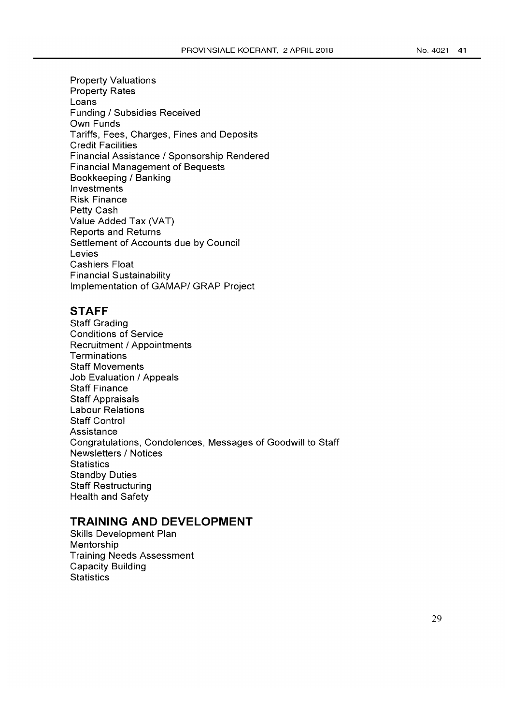Property Valuations Property Rates Loans Funding / Subsidies Received Own Funds Tariffs, Fees, Charges, Fines and Deposits Credit Facilities Financial Assistance / Sponsorship Rendered Financial Management of Bequests Bookkeeping / Banking Investments Risk Finance Petty Cash Value Added Tax (VAT) Reports and Returns Settlement of Accounts due by Council Levies Cashiers Float Financial Sustainability Implementation of GAMAP/ GRAP Project

# **STAFF**

Staff Grading Conditions of Service Recruitment / Appointments **Terminations** Staff Movements Job Evaluation / Appeals Staff Finance Staff Appraisals Labour Relations Staff Control Assistance Congratulations, Condolences, Messages of Goodwill to Staff Newsletters / Notices **Statistics** Standby Duties Staff Restructuring Health and Safety

# **TRAINING AND DEVELOPMENT**

Skills Development Plan Mentorship Training Needs Assessment Capacity Building **Statistics**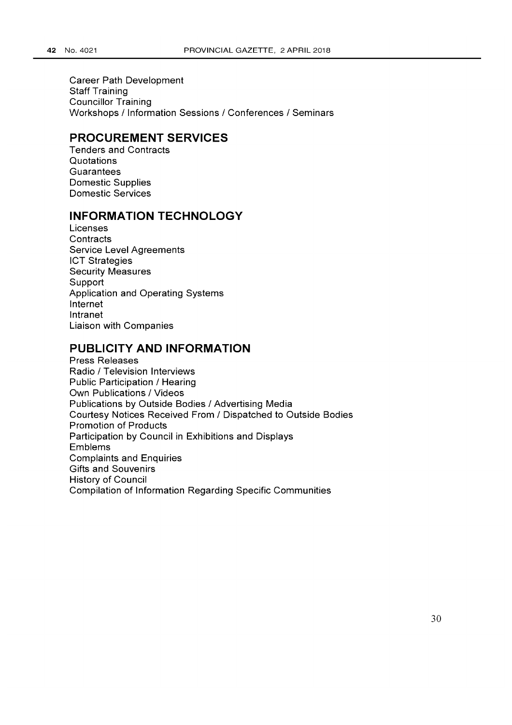Career Path Development Staff Training Councillor Training Workshops / Information Sessions / Conferences / Seminars

# **PROCUREMENT SERVICES**

Tenders and Contracts **Quotations Guarantees** Domestic Supplies Domestic Services

# **INFORMATION TECHNOLOGY**

Licenses **Contracts** Service Level Agreements ICT Strategies Security Measures **Support** Application and Operating Systems Internet Intranet Liaison with Companies

# **PUBLICITY AND INFORMATION**

Press Releases Radio / Television Interviews Public Participation / Hearing Own Publications / Videos Publications by Outside Bodies / Advertising Media Courtesy Notices Received From / Dispatched to Outside Bodies Promotion of Products Participation by Council in Exhibitions and Displays Emblems Complaints and Enquiries Gifts and Souvenirs History of Council Compilation of Information Regarding Specific Communities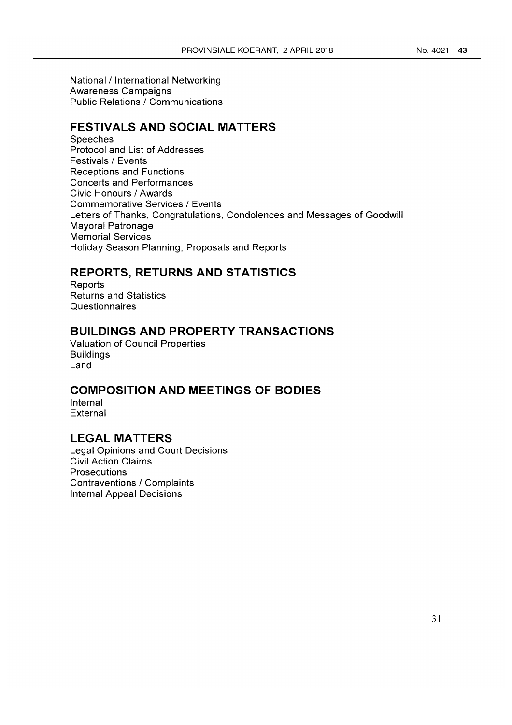National / International Networking Awareness Campaigns Public Relations / Communications

# **FESTIVALS AND SOCIAL MATTERS**

**Speeches** Protocol and List of Addresses Festivals / Events Receptions and Functions Concerts and Performances Civic Honours / Awards Commemorative Services / Events Letters of Thanks, Congratulations, Condolences and Messages of Goodwill Mayoral Patronage Memorial Services Holiday Season Planning, Proposals and Reports

# **REPORTS, RETURNS AND STATISTICS**

Reports Returns and Statistics **Questionnaires** 

# **BUILDINGS AND PROPERTY TRANSACTIONS**

Valuation of Council Properties Buildings Land

# **COMPOSITION AND MEETINGS OF BODIES**

Internal External

# **LEGAL MATTERS**

Legal Opinions and Court Decisions Civil Action Claims **Prosecutions** Contraventions / Complaints Internal Appeal Decisions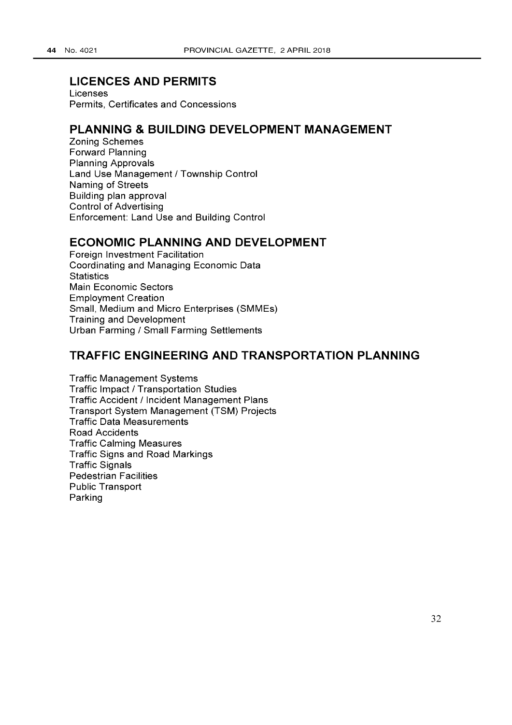# **LICENCES AND PERMITS**

Licenses Permits, Certificates and Concessions

# **PLANNING & BUILDING DEVELOPMENT MANAGEMENT**

Zoning Schemes Forward Planning Planning Approvals Land Use Management / Township Control Naming of Streets Building plan approval Control of Advertising Enforcement: Land Use and Building Control

# **ECONOMIC PLANNING AND DEVELOPMENT**

Foreign Investment Facilitation Coordinating and Managing Economic Data **Statistics** Main Economic Sectors Employment Creation Small, Medium and Micro Enterprises (SMMEs) Training and Development Urban Farming / Small Farming Settlements

# **TRAFFIC ENGINEERING AND TRANSPORTATION PLANNING**

Traffic Management Systems Traffic Impact / Transportation Studies Traffic Accident / Incident Management Plans Transport System Management (TSM) Projects Traffic Data Measurements Road Accidents Traffic Calming Measures Traffic Signs and Road Markings Traffic Signals Pedestrian Facilities Public Transport Parking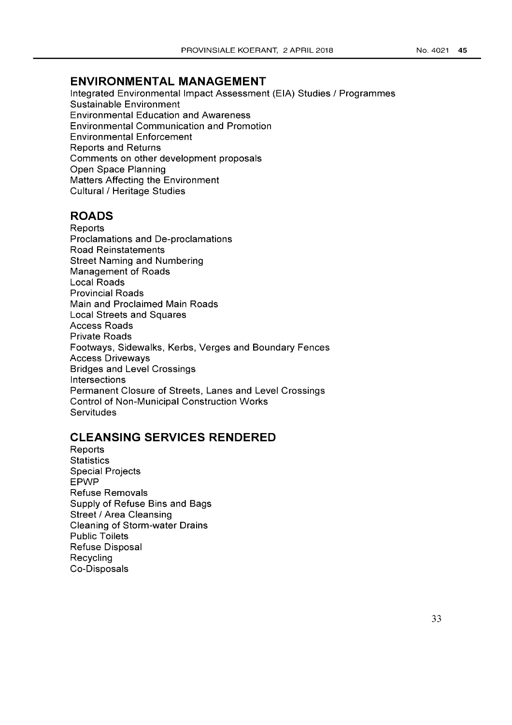# **ENVIRONMENTAL MANAGEMENT**

Integrated Environmental Impact Assessment (EIA) Studies / Programmes Sustainable Environment Environmental Education and Awareness Environmental Communication and Promotion Environmental Enforcement Reports and Returns Comments on other development proposals Open Space Planning Matters Affecting the Environment Cultural / Heritage Studies

# **ROADS**

Reports Proclamations and De-proclamations Road Reinstatements Street Naming and Numbering Management of Roads Local Roads Provincial Roads Main and Proclaimed Main Roads Local Streets and Squares Access Roads Private Roads Footways, Sidewalks, Kerbs, Verges and Boundary Fences Access Driveways Bridges and Level Crossings Intersections Permanent Closure of Streets, Lanes and Level Crossings Control of Non-Municipal Construction Works **Servitudes** 

# **CLEANSING SERVICES RENDERED**

**Reports Statistics** Special Projects EPWP Refuse Removals Supply of Refuse Bins and Bags Street / Area Cleansing Cleaning of Storm-water Drains Public Toilets Refuse Disposal Recycling Co-Disposals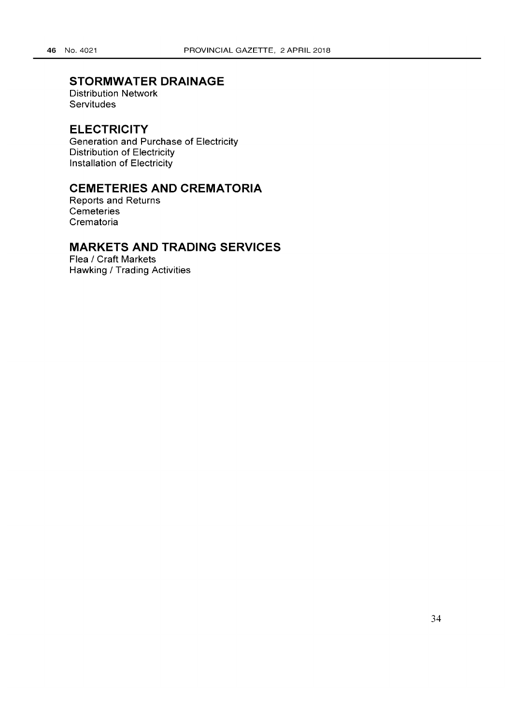# **STORMWATER DRAINAGE**

Distribution Network **Servitudes** 

# **ELECTRICITY**

Generation and Purchase of Electricity Distribution of Electricity Installation of Electricity

# **CEMETERIES AND CREMATORIA**

Reports and Returns **Cemeteries** Crematoria

# **MARKETS AND TRADING SERVICES**

Flea / Craft Markets Hawking / Trading Activities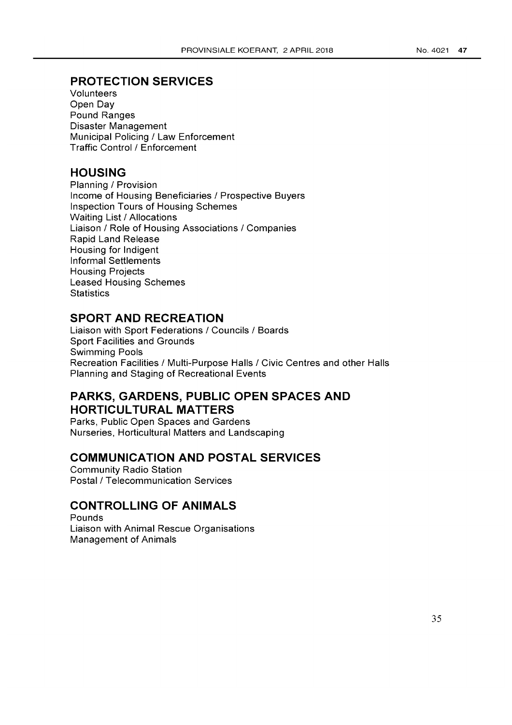# **PROTECTION SERVICES**

Volunteers Open Day Pound Ranges Disaster Management Municipal Policing / Law Enforcement Traffic Control/Enforcement

# **HOUSING**

Planning / Provision Income of Housing Beneficiaries / Prospective Buyers Inspection Tours of Housing Schemes Waiting List / Allocations Liaison / Role of Housing Associations / Companies Rapid Land Release Housing for Indigent Informal Settlements Housing Projects Leased Housing Schemes **Statistics** 

# **SPORT AND RECREATION**

Liaison with Sport Federations / Councils / Boards Sport Facilities and Grounds Swimming Pools Recreation Facilities / Multi-Purpose Halls / Civic Centres and other Halls Planning and Staging of Recreational Events

# **PARKS, GARDENS, PUBLIC OPEN SPACES AND HORTICULTURAL MATTERS**

Parks, Public Open Spaces and Gardens Nurseries, Horticultural Matters and Landscaping

# **COMMUNICATION AND POSTAL SERVICES**

Community Radio Station Postal/Telecommunication Services

# **CONTROLLING OF ANIMALS**

Pounds Liaison with Animal Rescue Organisations Management of Animals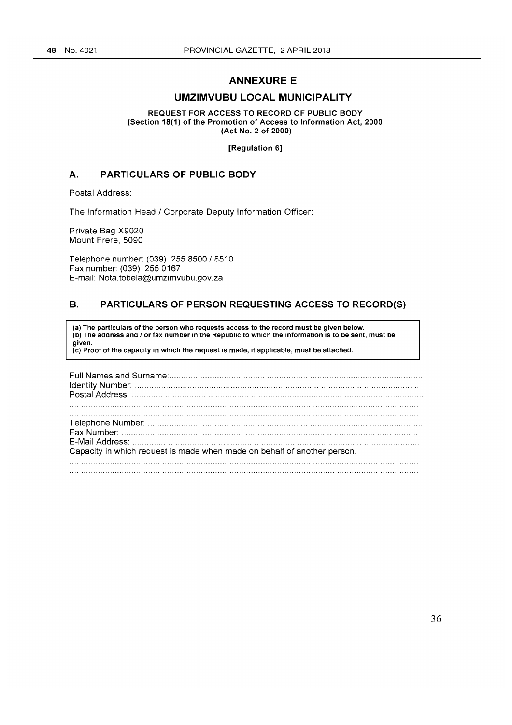# ANNEXURE E

### UMZIMVUBU LOCAL MUNICIPALITY

REQUEST FOR ACCESS TO RECORD OF PUBLIC BODY (Section 18(1) of the Promotion of Access to Information Act, 2000 (Act No.2 of 2000)

[Regulation 6]

### A. PARTICULARS OF PUBLIC BODY

Postal Address:

The Information Head / Corporate Deputy Information Officer:

Private Bag X9020 Mount Frere, 5090

Telephone number: (039) 2558500/8510 Fax number: (039) 2550167 E-mail: Nota.tobela@umzimvubu.gov.za

### B. PARTICULARS OF PERSON REQUESTING ACCESS TO RECORD(S)

(a) The particulars of the person who requests access to the record must be given below. (b) The address and / or fax number in the Republic to which the information is to be sent, must be given. (c) Proof of the capacity in which the request is made, if applicable, must be attached.

| Capacity in which request is made when made on behalf of another person. |  |
|--------------------------------------------------------------------------|--|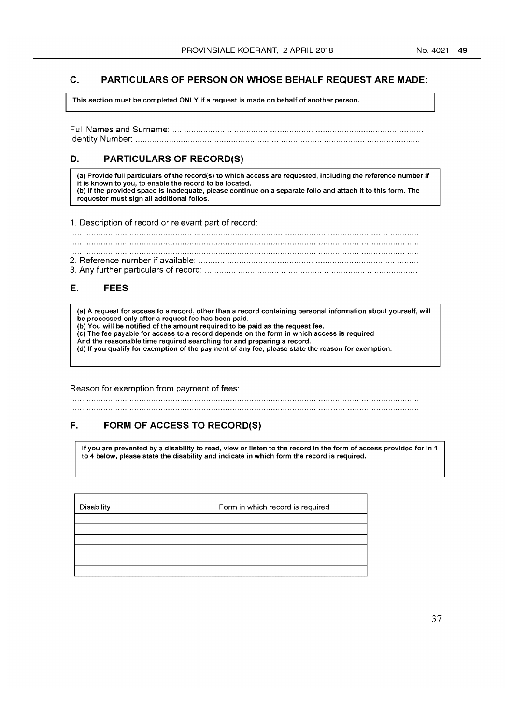### C. PARTICULARS OF PERSON ON WHOSE BEHALF REQUEST ARE MADE:

This section must be completed ONLY if a request is made on behalf of another person.

Full Names and Surname: ......................................................................................................... . Identity Number: ...................................................................................................................... .

# D. PARTICULARS OF RECORD(S)

(a) Provide full particulars of the record(s) to which access are requested, including the reference number if it is known to you, to enable the record to be located. (b) If the provided space is inadequate, please continue on a separate folio and attach it to this form. The requester must sign all additional folios.

1. Description of record or relevant part of record:

# E. FEES

(a) A request for access to a record, other than a record containing personal information about yourself, will be processed only after a request fee has been paid.

- (b) You will be notified of the amount required to be paid as the request fee.
- (c) The fee payable for access to a record depends on the form in which access is required
- And the reasonable time required searching for and preparing a record.

(d) If you qualify for exemption of the payment of any fee, please state the reason for exemption.

Reason for exemption from payment of fees:

# F. FORM OF ACCESS TO RECORD(S)

If you are prevented by a disability to read, view or listen to the record in the form of access provided for in 1 to 4 below, please state the disability and indicate in which form the record is required.

| Disability | Form in which record is required |
|------------|----------------------------------|
|            |                                  |
|            |                                  |
|            |                                  |
|            |                                  |
|            |                                  |
|            |                                  |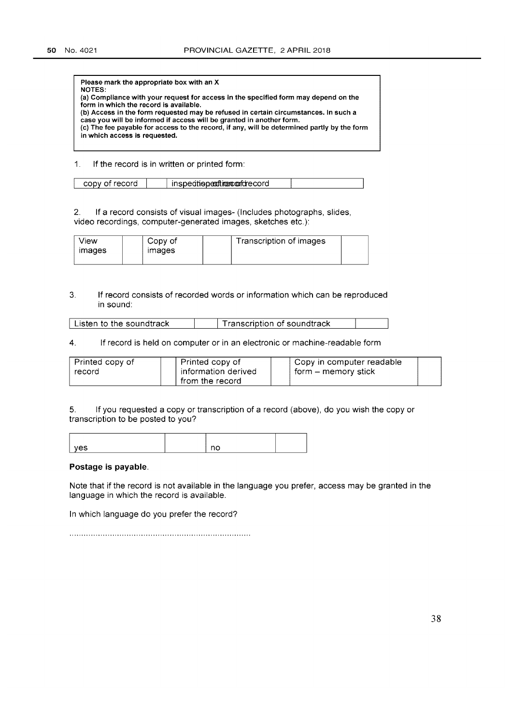| Please mark the appropriate box with an X<br>NOTES:                                                                           |
|-------------------------------------------------------------------------------------------------------------------------------|
| (a) Compliance with your request for access in the specified form may depend on the                                           |
| form in which the record is available.<br>(b) Access in the form requested may be refused in certain circumstances. In such a |
| case you will be informed if access will be granted in another form.                                                          |
| (c) The fee payable for access to the record, if any, will be determined partly by the form                                   |
| in which access is requested.                                                                                                 |
|                                                                                                                               |

1. If the record is in written or printed form:

2. If a record consists of visual images- (Includes photographs, slides, video recordings, computer-generated images, sketches etc.):

| View  | Copy of       | Transcription of images |
|-------|---------------|-------------------------|
| mages | <i>images</i> |                         |
|       |               |                         |

### 3. If record consists of recorded words or information which can be reproduced in sound:

| $\mathrel{\mathsf{I}}$ Listen to the soundtrack. | Transcription of soundtrack |  |
|--------------------------------------------------|-----------------------------|--|
|--------------------------------------------------|-----------------------------|--|

#### 4. If record is held on computer or in an electronic or machine-readable form

| Printed copy of | Printed copy of     | Copy in computer readable |  |
|-----------------|---------------------|---------------------------|--|
| record          | information derived | form – memory stick       |  |
|                 | from the record     |                           |  |

5. If you requested a copy or transcription of a record (above), do you wish the copy or transcription to be posted to you?

| $\sim$ $\sim$<br>. |  |  |
|--------------------|--|--|

#### Postage is payable.

Note that if the record is not available in the language you prefer, access may be granted in the language in which the record is available.

In which language do you prefer the record?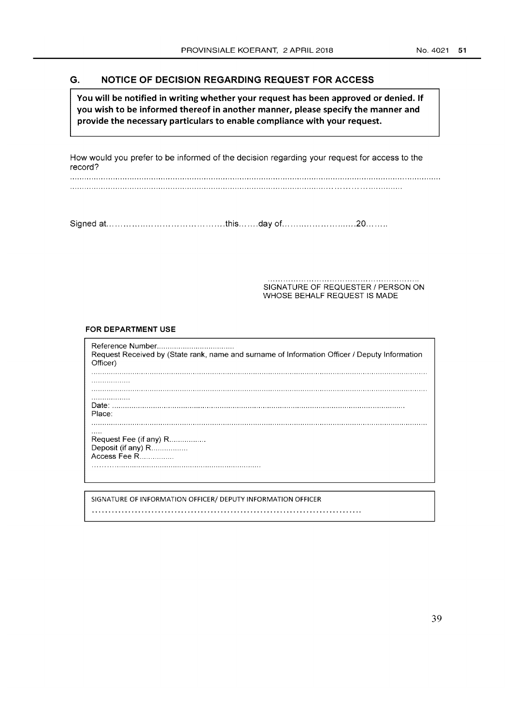### **G. NOTICE OF DECISION REGARDING REQUEST FOR ACCESS**

**You will be notified in writing whether your request has been approved or denied. If you wish to be informed thereof in another manner, please specify the manner and provide the necessary particulars to enable compliance with your request.** 

How would you prefer to be informed of the decision regarding your request for access to the record?

Signed at... ....................................... this ....... day of ........................... 20 ....... .

SIGNATURE OF REQUESTER / PERSON ON WHOSE BEHALF REQUEST IS MADE

#### FOR **DEPARTMENT USE**

Reference Number ................................... . Request Received by (State rank, name and surname of Information Officer / Deputy Information Officer) . . . . . . . . . . . . . . . . . . . . . . . . . . . . . . . . . . . Date: ....................................................................................................................................... . Place: Request Fee (if any) R.................. Deposit (if any) R................. Access Fee R................. SIGNATURE OF INFORMATION OFFICER/ DEPUTY INFORMATION OFFICER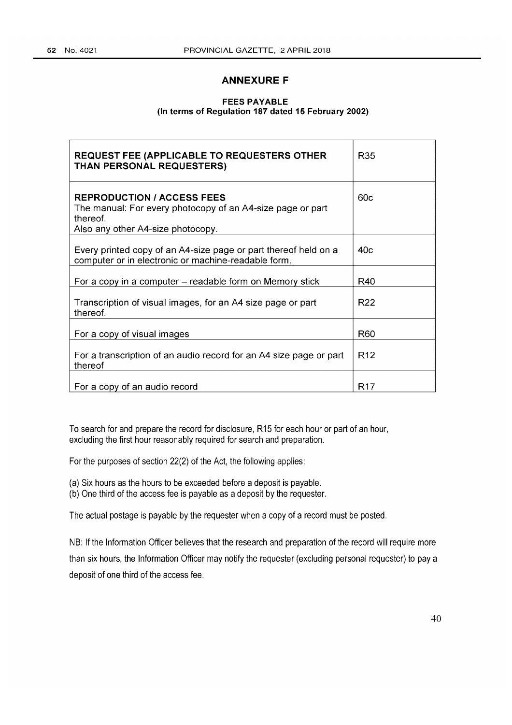# **ANNEXURE F**

### **FEES PAYABLE (In terms of Regulation 187 dated 15 February 2002)**

| <b>REQUEST FEE (APPLICABLE TO REQUESTERS OTHER</b><br>THAN PERSONAL REQUESTERS)                                                                  | R <sub>35</sub> |
|--------------------------------------------------------------------------------------------------------------------------------------------------|-----------------|
| <b>REPRODUCTION / ACCESS FEES</b><br>The manual: For every photocopy of an A4-size page or part<br>thereof.<br>Also any other A4-size photocopy. | 60c             |
| Every printed copy of an A4-size page or part thereof held on a<br>computer or in electronic or machine-readable form.                           | 40c             |
| For a copy in a computer – readable form on Memory stick                                                                                         | R40             |
| Transcription of visual images, for an A4 size page or part<br>thereof.                                                                          | R <sub>22</sub> |
| For a copy of visual images                                                                                                                      | R60             |
| For a transcription of an audio record for an A4 size page or part<br>thereof                                                                    | R <sub>12</sub> |
| For a copy of an audio record                                                                                                                    | R <sub>17</sub> |

To search for and prepare the record for disclosure, R15 for each hour or part of an hour, excluding the first hour reasonably required for search and preparation.

For the purposes of section 22(2) of the Act, the following applies:

(a) Six hours as the hours to be exceeded before a deposit is payable.

(b) One third of the access fee is payable as a deposit by the requester.

The actual postage is payable by the requester when a copy of a record must be posted.

NB: If the Information Officer believes that the research and preparation of the record will require more than six hours, the Information Officer may notify the requester (excluding personal requester) to pay a deposit of one third of the access fee.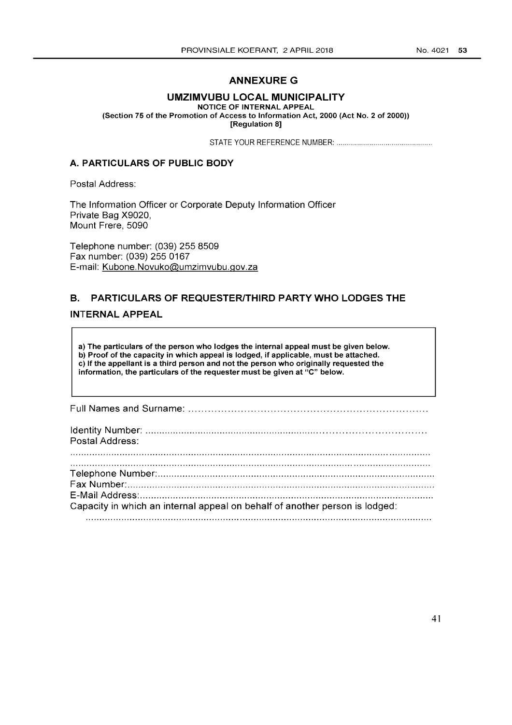# **ANNEXURE G**

### **UMZIMVUBU LOCAL MUNICIPALITY**

NOTICE OF INTERNAL APPEAL

(Section 75 of the Promotion of Access to Information Act, 2000 (Act No. 2 of 2000)) [Regulation 8]

STATE YOUR REFERENCE NUMBER: ................................................ .

### A. **PARTICULARS OF PUBLIC BODY**

Postal Address:

The Information Officer or Corporate Deputy Information Officer Private Bag X9020, Mount Frere, 5090

Telephone number: (039) 255 8509 Fax number: (039) 255 0167 E-mail: Kubone.Novuko@umzimvubu.gov.za

# **B. PARTICULARS OF REQUESTER/THIRD PARTY WHO LODGES THE**

### **INTERNAL APPEAL**

a) The particulars of the person who lodges the internal appeal must be given below. b) Proof of the capacity in which appeal is lodged, if applicable, must be attached. c) If the appellant is a third person and not the person who originally requested the information, the particulars of the requester must be given at "C" below.

Full Names and Surname: ........................................................................ .

| Postal Address:                                                             |
|-----------------------------------------------------------------------------|
|                                                                             |
|                                                                             |
|                                                                             |
|                                                                             |
| Capacity in which an internal appeal on behalf of another person is lodged: |
|                                                                             |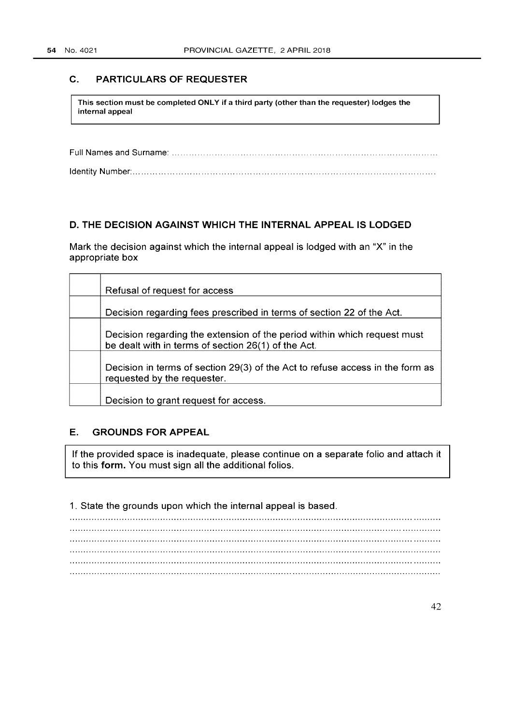### C. PARTICULARS OF REQUESTER

This section must be completed ONLY if a third party (other than the requester) lodges the internal appeal

Full Names and Surname: ............................................................................................ . Identity Number: ......................................................................................................... .

### D. THE DECISION AGAINST WHICH THE INTERNAL APPEAL IS LODGED

Mark the decision against which the internal appeal is lodged with an "X" in the appropriate box

| Refusal of request for access                                                                                                   |
|---------------------------------------------------------------------------------------------------------------------------------|
| Decision regarding fees prescribed in terms of section 22 of the Act.                                                           |
| Decision regarding the extension of the period within which request must<br>be dealt with in terms of section 26(1) of the Act. |
| Decision in terms of section 29(3) of the Act to refuse access in the form as<br>requested by the requester.                    |
| Decision to grant request for access.                                                                                           |

### E. GROUNDS FOR APPEAL

If the provided space is inadequate, please continue on a separate folio and attach it to this form. You must sign all the additional folios.

1. State the grounds upon which the internal appeal is based.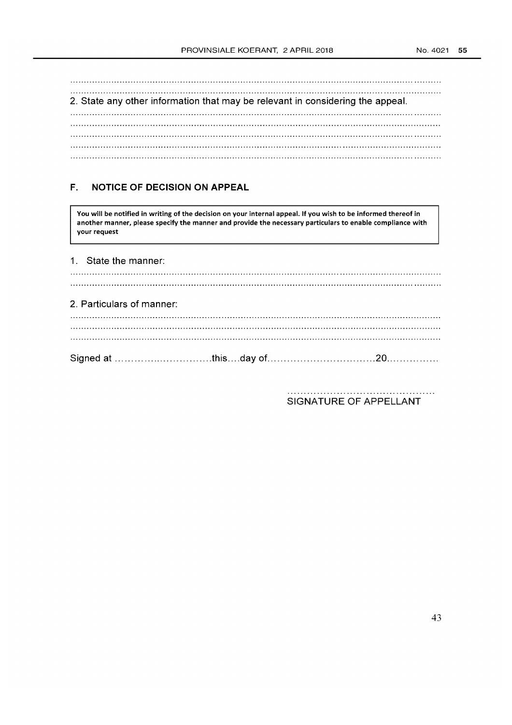2. State any other information that may be relevant in considering the appeal. 

# **F. NOTICE OF DECISION ON APPEAL**

You will be notified in writing of the decision on your internal appeal. If you wish to be informed thereof in another manner, please specify the manner and provide the necessary particulars to enable compliance with your request

| 2. Particulars of manner: |  |  |
|---------------------------|--|--|
|                           |  |  |
| 1. State the manner:      |  |  |

SIGNATURE OF APPELLANT